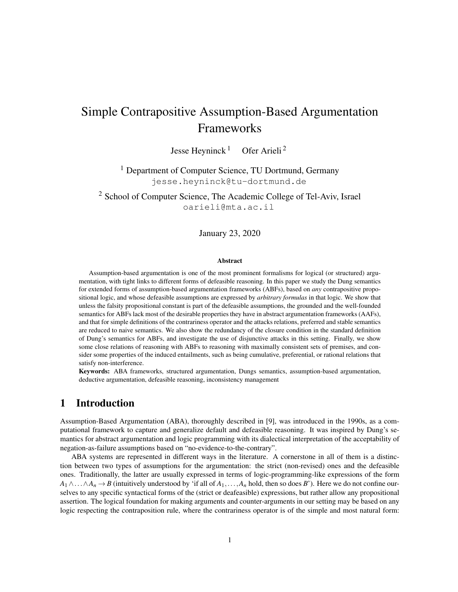# Simple Contrapositive Assumption-Based Argumentation Frameworks

Jesse Heyninck<sup>1</sup> Ofer Arieli<sup>2</sup>

<sup>1</sup> Department of Computer Science, TU Dortmund, Germany jesse.heyninck@tu-dortmund.de

<sup>2</sup> School of Computer Science, The Academic College of Tel-Aviv, Israel oarieli@mta.ac.il

## January 23, 2020

#### Abstract

Assumption-based argumentation is one of the most prominent formalisms for logical (or structured) argumentation, with tight links to different forms of defeasible reasoning. In this paper we study the Dung semantics for extended forms of assumption-based argumentation frameworks (ABFs), based on *any* contrapositive propositional logic, and whose defeasible assumptions are expressed by *arbitrary formulas* in that logic. We show that unless the falsity propositional constant is part of the defeasible assumptions, the grounded and the well-founded semantics for ABFs lack most of the desirable properties they have in abstract argumentation frameworks (AAFs), and that for simple definitions of the contrariness operator and the attacks relations, preferred and stable semantics are reduced to naive semantics. We also show the redundancy of the closure condition in the standard definition of Dung's semantics for ABFs, and investigate the use of disjunctive attacks in this setting. Finally, we show some close relations of reasoning with ABFs to reasoning with maximally consistent sets of premises, and consider some properties of the induced entailments, such as being cumulative, preferential, or rational relations that satisfy non-interference.

Keywords: ABA frameworks, structured argumentation, Dungs semantics, assumption-based argumentation, deductive argumentation, defeasible reasoning, inconsistency management

# 1 Introduction

Assumption-Based Argumentation (ABA), thoroughly described in [9], was introduced in the 1990s, as a computational framework to capture and generalize default and defeasible reasoning. It was inspired by Dung's semantics for abstract argumentation and logic programming with its dialectical interpretation of the acceptability of negation-as-failure assumptions based on "no-evidence-to-the-contrary".

ABA systems are represented in different ways in the literature. A cornerstone in all of them is a distinction between two types of assumptions for the argumentation: the strict (non-revised) ones and the defeasible ones. Traditionally, the latter are usually expressed in terms of logic-programming-like expressions of the form  $A_1 \wedge \ldots \wedge A_n \to B$  (intuitively understood by 'if all of  $A_1, \ldots, A_n$  hold, then so does *B*'). Here we do not confine ourselves to any specific syntactical forms of the (strict or deafeasible) expressions, but rather allow any propositional assertion. The logical foundation for making arguments and counter-arguments in our setting may be based on any logic respecting the contraposition rule, where the contrariness operator is of the simple and most natural form: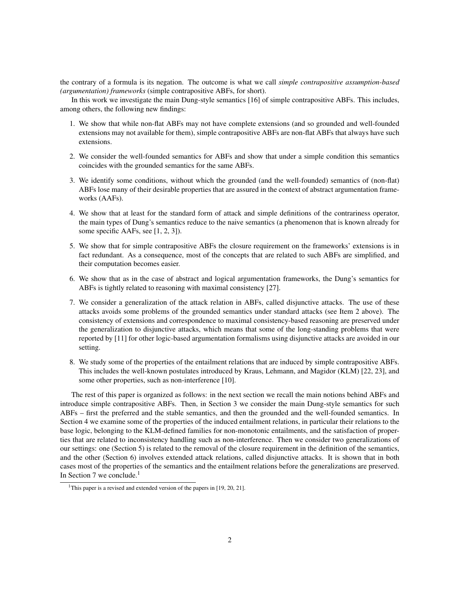the contrary of a formula is its negation. The outcome is what we call *simple contrapositive assumption-based (argumentation) frameworks* (simple contrapositive ABFs, for short).

In this work we investigate the main Dung-style semantics [16] of simple contrapositive ABFs. This includes, among others, the following new findings:

- 1. We show that while non-flat ABFs may not have complete extensions (and so grounded and well-founded extensions may not available for them), simple contrapositive ABFs are non-flat ABFs that always have such extensions.
- 2. We consider the well-founded semantics for ABFs and show that under a simple condition this semantics coincides with the grounded semantics for the same ABFs.
- 3. We identify some conditions, without which the grounded (and the well-founded) semantics of (non-flat) ABFs lose many of their desirable properties that are assured in the context of abstract argumentation frameworks (AAFs).
- 4. We show that at least for the standard form of attack and simple definitions of the contrariness operator, the main types of Dung's semantics reduce to the naive semantics (a phenomenon that is known already for some specific AAFs, see [1, 2, 3]).
- 5. We show that for simple contrapositive ABFs the closure requirement on the frameworks' extensions is in fact redundant. As a consequence, most of the concepts that are related to such ABFs are simplified, and their computation becomes easier.
- 6. We show that as in the case of abstract and logical argumentation frameworks, the Dung's semantics for ABFs is tightly related to reasoning with maximal consistency [27].
- 7. We consider a generalization of the attack relation in ABFs, called disjunctive attacks. The use of these attacks avoids some problems of the grounded semantics under standard attacks (see Item 2 above). The consistency of extensions and correspondence to maximal consistency-based reasoning are preserved under the generalization to disjunctive attacks, which means that some of the long-standing problems that were reported by [11] for other logic-based argumentation formalisms using disjunctive attacks are avoided in our setting.
- 8. We study some of the properties of the entailment relations that are induced by simple contrapositive ABFs. This includes the well-known postulates introduced by Kraus, Lehmann, and Magidor (KLM) [22, 23], and some other properties, such as non-interference [10].

The rest of this paper is organized as follows: in the next section we recall the main notions behind ABFs and introduce simple contrapositive ABFs. Then, in Section 3 we consider the main Dung-style semantics for such ABFs – first the preferred and the stable semantics, and then the grounded and the well-founded semantics. In Section 4 we examine some of the properties of the induced entailment relations, in particular their relations to the base logic, belonging to the KLM-defined families for non-monotonic entailments, and the satisfaction of properties that are related to inconsistency handling such as non-interference. Then we consider two generalizations of our settings: one (Section 5) is related to the removal of the closure requirement in the definition of the semantics, and the other (Section 6) involves extended attack relations, called disjunctive attacks. It is shown that in both cases most of the properties of the semantics and the entailment relations before the generalizations are preserved. In Section 7 we conclude.<sup>1</sup>

<sup>&</sup>lt;sup>1</sup>This paper is a revised and extended version of the papers in [19, 20, 21].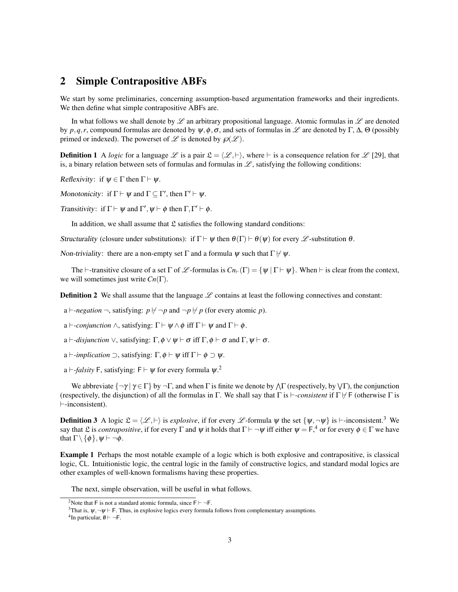# 2 Simple Contrapositive ABFs

We start by some preliminaries, concerning assumption-based argumentation frameworks and their ingredients. We then define what simple contrapositive ABFs are.

In what follows we shall denote by  $\mathscr L$  an arbitrary propositional language. Atomic formulas in  $\mathscr L$  are denoted by *p*,*q*,*r*, compound formulas are denoted by  $\psi$ ,  $\phi$ ,  $\sigma$ , and sets of formulas in  $\mathscr{L}$  are denoted by  $\Gamma$ ,  $\Delta$ ,  $\Theta$  (possibly primed or indexed). The powerset of  $\mathscr L$  is denoted by  $\mathscr D(\mathscr L)$ .

**Definition 1** A *logic* for a language  $\mathcal{L}$  is a pair  $\mathcal{L} = \langle \mathcal{L}, \vdash \rangle$ , where  $\vdash$  is a consequence relation for  $\mathcal{L}$  [29], that is, a binary relation between sets of formulas and formulas in  $\mathscr L$ , satisfying the following conditions:

Reflexivity: if  $\psi \in \Gamma$  then  $\Gamma \vdash \psi$ .

Monotonicity: if  $\Gamma \vdash \psi$  and  $\Gamma \subseteq \Gamma'$ , then  $\Gamma' \vdash \psi$ .

Transitivity: if  $\Gamma \vdash \psi$  and  $\Gamma', \psi \vdash \phi$  then  $\Gamma, \Gamma' \vdash \phi$ .

In addition, we shall assume that  $\mathfrak L$  satisfies the following standard conditions:

Structurality (closure under substitutions): if  $\Gamma \vdash \psi$  then  $\theta(\Gamma) \vdash \theta(\psi)$  for every  $\mathscr L$ -substitution  $\theta$ .

Non-triviality: there are a non-empty set Γ and a formula  $\psi$  such that  $\Gamma \nvdash \psi$ .

The  $\vdash$ -transitive closure of a set  $\Gamma$  of  $\mathscr{L}$ -formulas is  $Cn_{\vdash}(\Gamma) = {\psi \mid \Gamma \vdash \psi}$ . When  $\vdash$  is clear from the context, we will sometimes just write *Cn*(Γ).

**Definition 2** We shall assume that the language  $\mathcal{L}$  contains at least the following connectives and constant:

a  $\vdash$ *-negation*  $\neg$ , satisfying:  $p \nvdash \neg p$  and  $\neg p \nvdash p$  (for every atomic *p*).

a  $\vdash$ -*conjunction*  $\wedge$ , satisfying:  $\Gamma \vdash \psi \wedge \phi$  iff  $\Gamma \vdash \psi$  and  $\Gamma \vdash \phi$ .

a  $\vdash$ *-disjunction*  $\vee$ , satisfying:  $\Gamma$ ,  $\phi \vee \psi \vdash \sigma$  iff  $\Gamma$ ,  $\phi \vdash \sigma$  and  $\Gamma$ ,  $\psi \vdash \sigma$ .

a  $\vdash$ *-implication*  $\supset$ , satisfying:  $\Gamma$ ,  $\phi \vdash \psi$  iff  $\Gamma \vdash \phi \supset \psi$ .

a  $\vdash$ -*falsity* F, satisfying: F  $\vdash \psi$  for every formula  $\psi$ .<sup>2</sup>

We abbreviate  $\{\neg \gamma \mid \gamma \in \Gamma\}$  by  $\neg \Gamma$ , and when  $\Gamma$  is finite we denote by  $\wedge \Gamma$  (respectively, by  $\vee \Gamma$ ), the conjunction (respectively, the disjunction) of all the formulas in Γ. We shall say that  $\Gamma$  is *\\ie -consistent* if  $\Gamma \nvdash$  (otherwise  $\Gamma$  is  $\vdash$ -inconsistent).

**Definition 3** A logic  $\mathcal{L} = (\mathcal{L}, \vdash)$  is *explosive*, if for every  $\mathcal{L}$ -formula  $\psi$  the set  $\{\psi, \neg \psi\}$  is  $\vdash$ -inconsistent.<sup>3</sup> We say that £ is *contrapositive*, if for every  $\Gamma$  and  $\psi$  it holds that  $\Gamma \vdash \neg \psi$  iff either  $\psi = \mathsf{F},^4$  or for every  $\phi \in \Gamma$  we have that  $\Gamma \setminus \{\phi\}, \psi \vdash \neg \phi$ .

Example 1 Perhaps the most notable example of a logic which is both explosive and contrapositive, is classical logic, CL. Intuitionistic logic, the central logic in the family of constructive logics, and standard modal logics are other examples of well-known formalisms having these properties.

The next, simple observation, will be useful in what follows.

<sup>&</sup>lt;sup>2</sup>Note that F is not a standard atomic formula, since  $F \vdash \neg F$ .

<sup>&</sup>lt;sup>3</sup>That is,  $\psi, \neg \psi \vdash F$ . Thus, in explosive logics every formula follows from complementary assumptions.

<sup>&</sup>lt;sup>4</sup>In particular,  $\emptyset \vdash \neg \mathsf{F}.$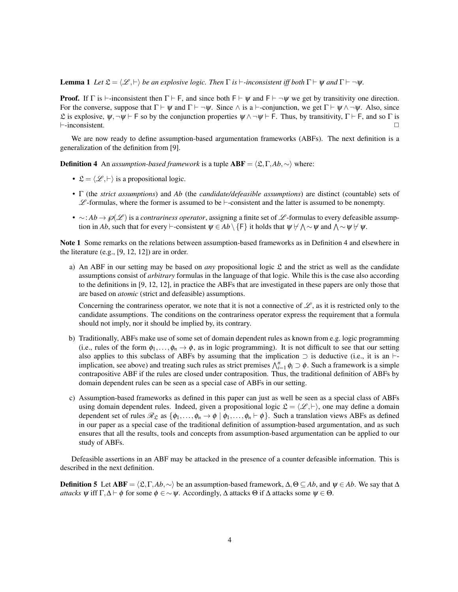**Lemma 1** *Let*  $\mathfrak{L} = \langle \mathcal{L}, \vdash \rangle$  *be an explosive logic. Then*  $\Gamma$  *is*  $\vdash$ *-inconsistent iff both*  $\Gamma \vdash \psi$  *and*  $\Gamma \vdash \neg \psi$ *.* 

**Proof.** If  $\Gamma$  is  $\vdash$ -inconsistent then  $\Gamma \vdash F$ , and since both  $F \vdash \psi$  and  $F \vdash \neg \psi$  we get by transitivity one direction. For the converse, suppose that  $\Gamma \vdash \psi$  and  $\Gamma \vdash \neg \psi$ . Since  $\wedge$  is a  $\vdash$ -conjunction, we get  $\Gamma \vdash \psi \wedge \neg \psi$ . Also, since L is explosive,  $\psi$ ,  $\neg \psi \vdash F$  so by the conjunction properties  $\psi \land \neg \psi \vdash F$ . Thus, by transitivity,  $\Gamma \vdash F$ , and so  $\Gamma$  is  $\Box$ 

We are now ready to define assumption-based argumentation frameworks (ABFs). The next definition is a generalization of the definition from [9].

**Definition 4** An *assumption-based framework* is a tuple  $ABF = \langle \mathfrak{L}, \Gamma, Ab, \sim \rangle$  where:

- $\mathfrak{L} = \langle \mathcal{L}, \vdash \rangle$  is a propositional logic.
- Γ (the *strict assumptions*) and *Ab* (the *candidate/defeasible assumptions*) are distinct (countable) sets of  $\mathscr{L}$ -formulas, where the former is assumed to be  $\vdash$ -consistent and the latter is assumed to be nonempty.
- ∼: *Ab* →  $\mathcal{O}(\mathcal{L})$  is a *contrariness operator*, assigning a finite set of  $\mathcal{L}$ -formulas to every defeasible assumption in *Ab*, such that for every  $\vdash$ -consistent  $\psi \in Ab \setminus \{\mathsf{F}\}$  it holds that  $\psi \not\vdash \bigwedge \sim \psi$  and  $\bigwedge \sim \psi \not\vdash \psi$ .

Note 1 Some remarks on the relations between assumption-based frameworks as in Definition 4 and elsewhere in the literature (e.g., [9, 12, 12]) are in order.

a) An ABF in our setting may be based on *any* propositional logic  $\mathfrak L$  and the strict as well as the candidate assumptions consist of *arbitrary* formulas in the language of that logic. While this is the case also according to the definitions in [9, 12, 12], in practice the ABFs that are investigated in these papers are only those that are based on *atomic* (strict and defeasible) assumptions.

Concerning the contrariness operator, we note that it is not a connective of  $\mathscr{L}$ , as it is restricted only to the candidate assumptions. The conditions on the contrariness operator express the requirement that a formula should not imply, nor it should be implied by, its contrary.

- b) Traditionally, ABFs make use of some set of domain dependent rules as known from e.g. logic programming (i.e., rules of the form  $\phi_1,\ldots,\phi_n\to\phi$ , as in logic programming). It is not difficult to see that our setting also applies to this subclass of ABFs by assuming that the implication  $\supset$  is deductive (i.e., it is an  $\vdash$ implication, see above) and treating such rules as strict premises  $\bigwedge_{i=1}^{n} \phi_i \supset \phi$ . Such a framework is a simple contrapositive ABF if the rules are closed under contraposition. Thus, the traditional definition of ABFs by domain dependent rules can be seen as a special case of ABFs in our setting.
- c) Assumption-based frameworks as defined in this paper can just as well be seen as a special class of ABFs using domain dependent rules. Indeed, given a propositional logic  $\mathcal{L} = \langle \mathcal{L}, \vdash \rangle$ , one may define a domain dependent set of rules  $\mathcal{R}_{\mathfrak{L}}$  as  $\{\phi_1,\ldots,\phi_n \to \phi \mid \phi_1,\ldots,\phi_n \vdash \phi\}$ . Such a translation views ABFs as defined in our paper as a special case of the traditional definition of assumption-based argumentation, and as such ensures that all the results, tools and concepts from assumption-based argumentation can be applied to our study of ABFs.

Defeasible assertions in an ABF may be attacked in the presence of a counter defeasible information. This is described in the next definition.

**Definition 5** Let ABF =  $\langle \mathfrak{L}, \Gamma, A\mathfrak{b}, \sim \rangle$  be an assumption-based framework,  $\Delta, \Theta \subseteq Ab$ , and  $\psi \in Ab$ . We say that ∆ *attacks*  $\psi$  iff  $\Gamma, \Delta \vdash \phi$  for some  $\phi \in \sim \psi$ . Accordingly,  $\Delta$  attacks  $\Theta$  if  $\Delta$  attacks some  $\psi \in \Theta$ .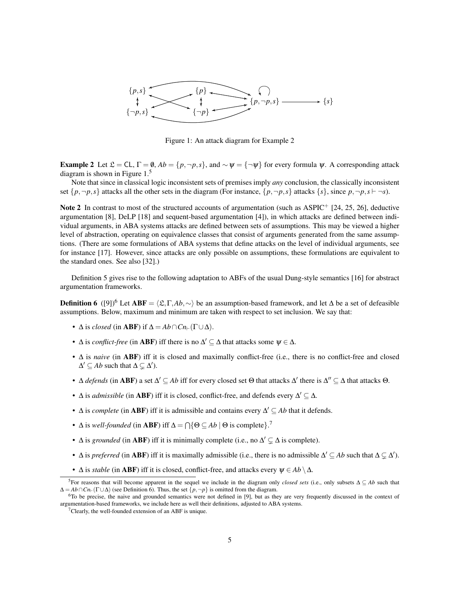

Figure 1: An attack diagram for Example 2

**Example 2** Let  $\mathcal{L} = CL$ ,  $\Gamma = \emptyset$ ,  $Ab = \{p, \neg p, s\}$ , and  $\sim \psi = \{\neg \psi\}$  for every formula  $\psi$ . A corresponding attack diagram is shown in Figure 1.<sup>5</sup>

Note that since in classical logic inconsistent sets of premises imply *any* conclusion, the classically inconsistent set  $\{p, \neg p, s\}$  attacks all the other sets in the diagram (For instance,  $\{p, \neg p, s\}$  attacks  $\{s\}$ , since  $p, \neg p, s \vdash \neg s$ ).

Note 2 In contrast to most of the structured accounts of argumentation (such as ASPIC<sup>+</sup> [24, 25, 26], deductive argumentation [8], DeLP [18] and sequent-based argumentation [4]), in which attacks are defined between individual arguments, in ABA systems attacks are defined between sets of assumptions. This may be viewed a higher level of abstraction, operating on equivalence classes that consist of arguments generated from the same assumptions. (There are some formulations of ABA systems that define attacks on the level of individual arguments, see for instance [17]. However, since attacks are only possible on assumptions, these formulations are equivalent to the standard ones. See also [32].)

Definition 5 gives rise to the following adaptation to ABFs of the usual Dung-style semantics [16] for abstract argumentation frameworks.

**Definition 6** ([9])<sup>6</sup> Let **ABF** =  $\langle \mathfrak{L}, \Gamma, A\mathfrak{b}, \sim \rangle$  be an assumption-based framework, and let ∆ be a set of defeasible assumptions. Below, maximum and minimum are taken with respect to set inclusion. We say that:

- $\Delta$  is *closed* (in **ABF**) if  $\Delta = Ab \cap Cn_{\vdash}(\Gamma \cup \Delta)$ .
- $\Delta$  is *conflict-free* (in **ABF**) iff there is no  $\Delta' \subseteq \Delta$  that attacks some  $\psi \in \Delta$ .
- ∆ is *naive* (in ABF) iff it is closed and maximally conflict-free (i.e., there is no conflict-free and closed  $\Delta' \subseteq Ab$  such that  $\Delta \subsetneq \Delta'$ ).
- $\Delta$  *defends* (in **ABF**) a set  $\Delta' \subseteq Ab$  iff for every closed set  $\Theta$  that attacks  $\Delta'$  there is  $\Delta'' \subseteq \Delta$  that attacks  $\Theta$ .
- $\Delta$  is *admissible* (in **ABF**) iff it is closed, conflict-free, and defends every  $\Delta' \subseteq \Delta$ .
- $\Delta$  is *complete* (in **ABF**) iff it is admissible and contains every  $\Delta' \subseteq Ab$  that it defends.
- $\Delta$  is *well-founded* (in **ABF**) iff  $\Delta = \bigcap \{ \Theta \subseteq Ab \mid \Theta \text{ is complete} \}$ .<sup>7</sup>
- $\Delta$  is *grounded* (in **ABF**) iff it is minimally complete (i.e., no  $\Delta' \subsetneq \Delta$  is complete).
- $\Delta$  is *preferred* (in **ABF**) iff it is maximally admissible (i.e., there is no admissible  $\Delta' \subseteq Ab$  such that  $\Delta \subseteq \Delta'$ ).
- $\Delta$  is *stable* (in **ABF**) iff it is closed, conflict-free, and attacks every  $\psi \in Ab \setminus \Delta$ .

<sup>5</sup>For reasons that will become apparent in the sequel we include in the diagram only *closed sets* (i.e., only subsets ∆ ⊆ *Ab* such that  $\Delta = Ab \cap Cn_{\vdash}(\Gamma \cup \Delta)$  (see Definition 6). Thus, the set  $\{p, \neg p\}$  is omitted from the diagram.

<sup>&</sup>lt;sup>6</sup>To be precise, the naive and grounded semantics were not defined in [9], but as they are very frequently discussed in the context of argumentation-based frameworks, we include here as well their definitions, adjusted to ABA systems.

 $7$ Clearly, the well-founded extension of an ABF is unique.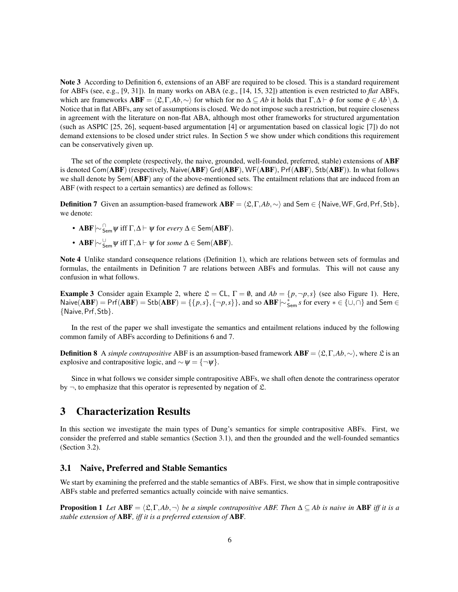Note 3 According to Definition 6, extensions of an ABF are required to be closed. This is a standard requirement for ABFs (see, e.g., [9, 31]). In many works on ABA (e.g., [14, 15, 32]) attention is even restricted to *flat* ABFs, which are frameworks  $ABF = \langle \mathfrak{L}, \Gamma, Ab, \sim \rangle$  for which for no  $\Delta \subseteq Ab$  it holds that  $\Gamma, \Delta \vdash \phi$  for some  $\phi \in Ab \setminus \Delta$ . Notice that in flat ABFs, any set of assumptions is closed. We do not impose such a restriction, but require closeness in agreement with the literature on non-flat ABA, although most other frameworks for structured argumentation (such as ASPIC [25, 26], sequent-based argumentation [4] or argumentation based on classical logic [7]) do not demand extensions to be closed under strict rules. In Section 5 we show under which conditions this requirement can be conservatively given up.

The set of the complete (respectively, the naive, grounded, well-founded, preferred, stable) extensions of ABF is denoted Com(ABF) (respectively, Naive(ABF) Grd(ABF), WF(ABF), Prf(ABF), Stb(ABF)). In what follows we shall denote by Sem(ABF) any of the above-mentioned sets. The entailment relations that are induced from an ABF (with respect to a certain semantics) are defined as follows:

**Definition 7** Given an assumption-based framework  $ABF = \langle \mathcal{L}, \Gamma, Ab, \sim \rangle$  and Sem ∈ {Naive, WF, Grd, Prf, Stb}, we denote:

- **ABF**  $\sim$   $\frac{0}{5}$ <sub>Sem</sub>  $\psi$  iff Γ,  $\Delta$   $\vdash$   $\psi$  for *every*  $\Delta$   $\in$  Sem(**ABF**).
- **ABF**  $\sim$   $\frac{U}{\text{Sem}}$   $\psi$  iff Γ,  $\Delta$   $\vdash$   $\psi$  for *some*  $\Delta$   $\in$  Sem(**ABF**).

Note 4 Unlike standard consequence relations (Definition 1), which are relations between sets of formulas and formulas, the entailments in Definition 7 are relations between ABFs and formulas. This will not cause any confusion in what follows.

**Example 3** Consider again Example 2, where  $\mathcal{L} = CL$ ,  $\Gamma = \emptyset$ , and  $Ab = \{p, \neg p, s\}$  (see also Figure 1). Here, Naive( $\overline{ABF}$ ) = Prf( $\overline{ABF}$ ) = Stb( $\overline{ABF}$ ) = {{ $p,s$ }, {¬ $p,s$ }}, and so  $\overline{ABF}$  | $\sim$   $\overline{\overline{S}_{em}} s$  for every  $* \in \{\cup, \cap\}$  and Sem  $\in$ {Naive,Prf,Stb}.

In the rest of the paper we shall investigate the semantics and entailment relations induced by the following common family of ABFs according to Definitions 6 and 7.

**Definition 8** A *simple contrapositive* ABF is an assumption-based framework  $ABF = \langle \mathfrak{L}, \Gamma, Ab, \sim \rangle$ , where  $\mathfrak{L}$  is an explosive and contrapositive logic, and  $\sim \psi = \{\neg \psi\}.$ 

Since in what follows we consider simple contrapositive ABFs, we shall often denote the contrariness operator by  $\neg$ , to emphasize that this operator is represented by negation of  $\mathfrak{L}$ .

# 3 Characterization Results

In this section we investigate the main types of Dung's semantics for simple contrapositive ABFs. First, we consider the preferred and stable semantics (Section 3.1), and then the grounded and the well-founded semantics (Section 3.2).

## 3.1 Naive, Preferred and Stable Semantics

We start by examining the preferred and the stable semantics of ABFs. First, we show that in simple contrapositive ABFs stable and preferred semantics actually coincide with naive semantics.

**Proposition 1** *Let*  $ABF = \langle \mathcal{L}, \Gamma, Ab, \neg \rangle$  *be a simple contrapositive ABF. Then*  $\Delta \subseteq Ab$  *is naive in* ABF *iff it is a stable extension of* ABF*, iff it is a preferred extension of* ABF*.*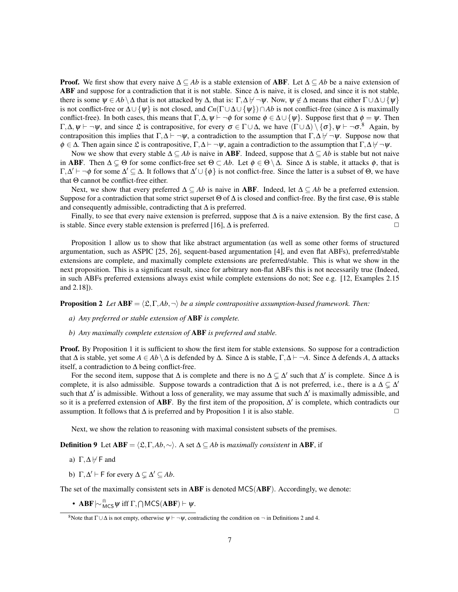**Proof.** We first show that every naive  $\Delta \subseteq Ab$  is a stable extension of **ABF**. Let  $\Delta \subseteq Ab$  be a naive extension of ABF and suppose for a contradiction that it is not stable. Since  $\Delta$  is naive, it is closed, and since it is not stable, there is some  $\psi \in Ab \setminus \Delta$  that is not attacked by  $\Delta$ , that is:  $\Gamma, \Delta \nvdash \neg \psi$ . Now,  $\psi \notin \Delta$  means that either  $\Gamma \cup \Delta \cup \{\psi\}$ is not conflict-free or  $\Delta \cup \{\psi\}$  is not closed, and  $Cn(\Gamma \cup \Delta \cup \{\psi\}) \cap Ab$  is not conflict-free (since  $\Delta$  is maximally conflict-free). In both cases, this means that  $\Gamma, \Delta, \psi \vdash \neg \phi$  for some  $\phi \in \Delta \cup \{\psi\}$ . Suppose first that  $\phi = \psi$ . Then  $\Gamma, \Delta, \psi \vdash \neg \psi$ , and since  $\mathfrak{L}$  is contrapositive, for every  $\sigma \in \Gamma \cup \Delta$ , we have  $(\Gamma \cup \Delta) \setminus {\lbrace \sigma \rbrace}, \psi \vdash \neg \sigma$ .<sup>8</sup> Again, by contraposition this implies that  $\Gamma, \Delta \vdash \neg \psi$ , a contradiction to the assumption that  $\Gamma, \Delta \not\vdash \neg \psi$ . Suppose now that  $\phi \in \Delta$ . Then again since  $\mathfrak L$  is contrapositive,  $\Gamma, \Delta \vdash \neg \psi$ , again a contradiction to the assumption that  $\Gamma, \Delta \not \vdash \neg \psi$ .

Now we show that every stable  $\Delta \subseteq Ab$  is naive in **ABF**. Indeed, suppose that  $\Delta \subseteq Ab$  is stable but not naive in ABF. Then  $\Delta \subseteq \Theta$  for some conflict-free set  $\Theta \subset Ab$ . Let  $\phi \in \Theta \setminus \Delta$ . Since  $\Delta$  is stable, it attacks  $\phi$ , that is  $\Gamma, \Delta' \vdash \neg \phi$  for some  $\Delta' \subseteq \Delta$ . It follows that  $\Delta' \cup \{\phi\}$  is not conflict-free. Since the latter is a subset of  $\Theta$ , we have that Θ cannot be conflict-free either.

Next, we show that every preferred  $\Delta \subseteq Ab$  is naive in **ABF**. Indeed, let  $\Delta \subseteq Ab$  be a preferred extension. Suppose for a contradiction that some strict superset  $\Theta$  of  $\Delta$  is closed and conflict-free. By the first case,  $\Theta$  is stable and consequently admissible, contradicting that  $\Delta$  is preferred.

Finally, to see that every naive extension is preferred, suppose that  $\Delta$  is a naive extension. By the first case,  $\Delta$ is stable. Since every stable extension is preferred [16],  $\Delta$  is preferred.  $\Box$ 

Proposition 1 allow us to show that like abstract argumentation (as well as some other forms of structured argumentation, such as ASPIC [25, 26], sequent-based argumentation [4], and even flat ABFs), preferred/stable extensions are complete, and maximally complete extensions are preferred/stable. This is what we show in the next proposition. This is a significant result, since for arbitrary non-flat ABFs this is not necessarily true (Indeed, in such ABFs preferred extensions always exist while complete extensions do not; See e.g. [12, Examples 2.15 and 2.18]).

**Proposition 2** *Let*  $ABF = \langle \mathcal{L}, \Gamma, Ab, \neg \rangle$  *be a simple contrapositive assumption-based framework. Then:* 

- *a) Any preferred or stable extension of* ABF *is complete.*
- *b) Any maximally complete extension of* ABF *is preferred and stable.*

**Proof.** By Proposition 1 it is sufficient to show the first item for stable extensions. So suppose for a contradiction that Δ is stable, yet some  $A ∈ Ab \Delta$  is defended by Δ. Since  $\Delta$  is stable,  $\Gamma, \Delta \vdash \neg A$ . Since  $\Delta$  defends  $A, \Delta$  attacks itself, a contradiction to  $\Delta$  being conflict-free.

For the second item, suppose that  $\Delta$  is complete and there is no  $\Delta \subsetneq \Delta'$  such that  $\Delta'$  is complete. Since  $\Delta$  is complete, it is also admissible. Suppose towards a contradiction that  $\Delta$  is not preferred, i.e., there is a  $\Delta \subsetneq \Delta'$ such that  $\Delta'$  is admissible. Without a loss of generality, we may assume that such  $\Delta'$  is maximally admissible, and so it is a preferred extension of ABF. By the first item of the proposition,  $\Delta'$  is complete, which contradicts our assumption. It follows that  $\Delta$  is preferred and by Proposition 1 it is also stable.  $□$ 

Next, we show the relation to reasoning with maximal consistent subsets of the premises.

**Definition 9** Let  $ABF = \langle \mathcal{L}, \Gamma, Ab, \sim \rangle$ . A set  $\Delta \subseteq Ab$  is *maximally consistent* in ABF, if

- a)  $\Gamma, \Delta \not\vdash \mathsf{F}$  and
- b)  $\Gamma, \Delta' \vdash F$  for every  $\Delta \subsetneq \Delta' \subseteq Ab$ .

The set of the maximally consistent sets in **ABF** is denoted MCS(**ABF**). Accordingly, we denote:

• **ABF**  $\sim \frac{m}{MCS} \psi$  iff  $\Gamma, \bigcap \text{MCS}(\text{ABF}) \vdash \psi$ .

<sup>&</sup>lt;sup>8</sup>Note that  $\Gamma \cup \Delta$  is not empty, otherwise  $\psi \vdash \neg \psi$ , contradicting the condition on  $\neg$  in Definitions 2 and 4.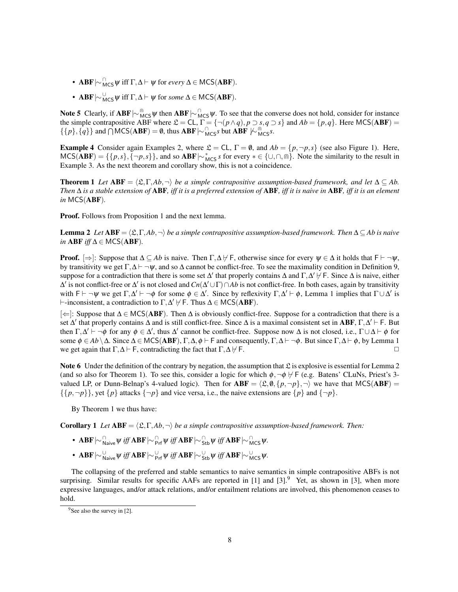- **ABF**  $\sim \bigwedge_{M \subset S} \psi$  iff Γ, Δ  $\vdash$   $\psi$  for *every* Δ  $\in$  MCS(**ABF**).
- **ABF**  $\sim \bigvee_{MCS}^{\cup} \psi$  iff  $\Gamma, \Delta \vdash \psi$  for *some*  $\Delta \in \mathsf{MCS}(\mathbf{ABF})$ .

Note 5 Clearly, if ABF $\sim_{MCS}^{\infty}\psi$  then ABF $\sim_{MCS}^{\cap}\psi$ . To see that the converse does not hold, consider for instance the simple contrapositive ABF where  $\mathcal{L} = CL$ ,  $\Gamma = \{\neg (p \land q), p \supset s, q \supset s\}$  and  $Ab = \{p, q\}$ . Here MCS(ABF) =  $\{\{p\},\{q\}\}\$ and  $\bigcap_{\text{MCS}}(ABF) = \emptyset$ , thus  $ABF \sim \bigcap_{\text{MCS}}^{\cap} S$  but  $ABF \nmid \sim \bigcap_{\text{MCS}}^{\cap} S$ .

**Example 4** Consider again Examples 2, where  $\mathcal{L} = CL$ ,  $\Gamma = \emptyset$ , and  $Ab = \{p, \neg p, s\}$  (see also Figure 1). Here,  $MCS(\overline{ABF}) = \{\{p,s\}, \{\neg p,s\}\}\$ , and so  $ABF \sim_{MCS}^* s$  for every  $* \in \{\cup, \cap, \text{in}\}\$ . Note the similarity to the result in Example 3. As the next theorem and corollary show, this is not a coincidence.

**Theorem 1** *Let*  $ABF = \langle \mathfrak{L}, \Gamma, Ab, \neg \rangle$  *be a simple contrapositive assumption-based framework, and let*  $\Delta \subseteq Ab$ . *Then* ∆ *is a stable extension of* ABF*, iff it is a preferred extension of* ABF*, iff it is naive in* ABF*, iff it is an element in* MCS(ABF)*.*

Proof. Follows from Proposition 1 and the next lemma.

**Lemma 2** *Let*  $ABF = \langle \mathfrak{L}, \Gamma, Ab, \neg \rangle$  *be a simple contrapositive assumption-based framework. Then*  $\Delta \subseteq Ab$  *is naive in* ABF *iff*  $\Delta \in \text{MCS}(ABF)$ *.* 

**Proof.**  $[\Rightarrow]$ : Suppose that  $\Delta \subseteq Ab$  is naive. Then  $\Gamma, \Delta \not\vdash F$ , otherwise since for every  $\psi \in \Delta$  it holds that  $F \vdash \neg \psi$ , by transitivity we get  $\Gamma, \Delta \vdash \neg \psi$ , and so  $\Delta$  cannot be conflict-free. To see the maximality condition in Definition 9, suppose for a contradiction that there is some set  $\Delta'$  that properly contains  $\Delta$  and  $\Gamma, \Delta' \not\vdash F$ . Since  $\Delta$  is naive, either  $\Delta'$  is not conflict-free or  $\Delta'$  is not closed and  $Cn(\Delta' \cup \Gamma) \cap Ab$  is not conflict-free. In both cases, again by transitivity with  $F \vdash \neg \psi$  we get  $\Gamma, \Delta' \vdash \neg \phi$  for some  $\phi \in \Delta'$ . Since by reflexivity  $\Gamma, \Delta' \vdash \phi$ , Lemma 1 implies that  $\Gamma \cup \Delta'$  is  $\vdash$ -inconsistent, a contradiction to  $\Gamma, \Delta' \not\vdash F$ . Thus  $\Delta \in \mathsf{MCS}(\mathbf{ABF})$ .

[⇐]: Suppose that ∆ ∈ MCS(ABF). Then ∆ is obviously conflict-free. Suppose for a contradiction that there is a set  $\Delta'$  that properly contains  $\Delta$  and is still conflict-free. Since  $\Delta$  is a maximal consistent set in ABF,  $\Gamma, \Delta' \vdash F$ . But then  $\Gamma, \Delta' \vdash \neg \phi$  for any  $\phi \in \Delta'$ , thus  $\Delta'$  cannot be conflict-free. Suppose now  $\Delta$  is not closed, i.e.,  $\Gamma \cup \Delta \vdash \phi$  for some  $\phi \in Ab \setminus \Delta$ . Since  $\Delta \in \text{MCS}(ABF)$ ,  $\Gamma, \Delta, \phi \vdash F$  and consequently,  $\Gamma, \Delta \vdash \neg \phi$ . But since  $\Gamma, \Delta \vdash \phi$ , by Lemma 1 we get again that  $\Gamma, \Delta \vdash F$ , contradicting the fact that  $\Gamma, \Delta \not\models F$ .  $\Box$ 

Note 6 Under the definition of the contrary by negation, the assumption that  $\mathfrak L$  is explosive is essential for Lemma 2 (and so also for Theorem 1). To see this, consider a logic for which  $\phi, \neg \phi \nvdash F$  (e.g. Batens' CLuNs, Priest's 3valued LP, or Dunn-Belnap's 4-valued logic). Then for  $ABF = \langle \mathfrak{L}, \theta, \{p, \neg p\}, \neg \rangle$  we have that  $MCS(ABF) =$  $\{\{p, \neg p\}\}\$ , yet  $\{p\}$  attacks  $\{\neg p\}$  and vice versa, i.e., the naive extensions are  $\{p\}$  and  $\{\neg p\}$ .

By Theorem 1 we thus have:

**Corollary 1** *Let*  $ABF = \langle \mathfrak{L}, \Gamma, Ab, \neg \rangle$  *be a simple contrapositive assumption-based framework. Then:* 

- ABF $\mid \sim$   $\cap_{\mathsf{Naive}}^{\cap}$   $\psi$  *iff* ABF $\mid \sim$   $\cap_{\mathsf{Stb}}^{\cap}$   $\psi$  *iff* ABF  $\mid \sim$   $\cap_{\mathsf{MCS}}^{\cap}$   $\psi$ .
- ABF $\hspace{0.1 cm} \sim \hspace{0.1 cm} \big\uplus_{\mathsf{N} \text{aive}} \psi \text{ iff } \text{ABF} \hspace{0.1 cm} \sim \hspace{0.1 cm} \big\uplus_{\mathsf{Prf}} \psi \text{ iff } \text{ABF} \hspace{0.1 cm} \big\uplus_{\mathsf{Stb}} \psi \text{ iff } \text{ABF} \hspace{0.1 cm} \big\uplus_{\mathsf{MCS}} \psi.$

The collapsing of the preferred and stable semantics to naive semantics in simple contrapositive ABFs is not surprising. Similar results for specific AAFs are reported in  $[1]$  and  $[3]$ .<sup>9</sup> Yet, as shown in  $[3]$ , when more expressive languages, and/or attack relations, and/or entailment relations are involved, this phenomenon ceases to hold.

 $9$ See also the survey in [2].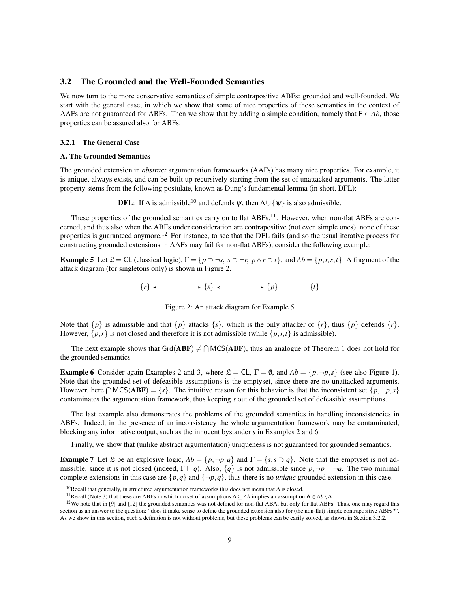## 3.2 The Grounded and the Well-Founded Semantics

We now turn to the more conservative semantics of simple contrapositive ABFs: grounded and well-founded. We start with the general case, in which we show that some of nice properties of these semantics in the context of AAFs are not guaranteed for ABFs. Then we show that by adding a simple condition, namely that  $F \in Ab$ , those properties can be assured also for ABFs.

#### 3.2.1 The General Case

#### A. The Grounded Semantics

The grounded extension in *abstract* argumentation frameworks (AAFs) has many nice properties. For example, it is unique, always exists, and can be built up recursively starting from the set of unattacked arguments. The latter property stems from the following postulate, known as Dung's fundamental lemma (in short, DFL):

**DFL:** If  $\Delta$  is admissible<sup>10</sup> and defends  $\psi$ , then  $\Delta \cup {\psi}$  is also admissible.

These properties of the grounded semantics carry on to flat ABFs.<sup>11</sup>. However, when non-flat ABFs are concerned, and thus also when the ABFs under consideration are contrapositive (not even simple ones), none of these properties is guaranteed anymore.<sup>12</sup> For instance, to see that the DFL fails (and so the usual iterative process for constructing grounded extensions in AAFs may fail for non-flat ABFs), consider the following example:

**Example 5** Let  $\mathcal{L} = CL$  (classical logic),  $\Gamma = \{p \supset \neg s, s \supset \neg r, p \wedge r \supset t\}$ , and  $Ab = \{p, r, s, t\}$ . A fragment of the attack diagram (for singletons only) is shown in Figure 2.

$$
\{r\} \longleftrightarrow \{s\} \longleftrightarrow \{p\} \qquad \{t\}
$$

Figure 2: An attack diagram for Example 5

Note that  $\{p\}$  is admissible and that  $\{p\}$  attacks  $\{s\}$ , which is the only attacker of  $\{r\}$ , thus  $\{p\}$  defends  $\{r\}$ . However,  $\{p, r\}$  is not closed and therefore it is not admissible (while  $\{p, r, t\}$  is admissible).

The next example shows that  $Grd(ABF) \neq \bigcap MCS(ABF)$ , thus an analogue of Theorem 1 does not hold for the grounded semantics

**Example 6** Consider again Examples 2 and 3, where  $\mathcal{L} = CL$ ,  $\Gamma = \emptyset$ , and  $Ab = \{p, \neg p, s\}$  (see also Figure 1). Note that the grounded set of defeasible assumptions is the emptyset, since there are no unattacked arguments. However, here  $\bigcap \text{MCS}(\text{ABF}) = \{s\}$ . The intuitive reason for this behavior is that the inconsistent set  $\{p, \neg p, s\}$ contaminates the argumentation framework, thus keeping *s* out of the grounded set of defeasible assumptions.

The last example also demonstrates the problems of the grounded semantics in handling inconsistencies in ABFs. Indeed, in the presence of an inconsistency the whole argumentation framework may be contaminated, blocking any informative output, such as the innocent bystander *s* in Examples 2 and 6.

Finally, we show that (unlike abstract argumentation) uniqueness is not guaranteed for grounded semantics.

**Example 7** Let L be an explosive logic,  $Ab = \{p, \neg p, q\}$  and  $\Gamma = \{s, s \supset q\}$ . Note that the emptyset is not admissible, since it is not closed (indeed,  $\Gamma \vdash q$ ). Also,  $\{q\}$  is not admissible since  $p, \neg p \vdash \neg q$ . The two minimal complete extensions in this case are  $\{p,q\}$  and  $\{\neg p,q\}$ , thus there is no *unique* grounded extension in this case.

<sup>10</sup>Recall that generally, in structured argumentation frameworks this does not mean that ∆ is closed.

<sup>&</sup>lt;sup>11</sup>Recall (Note 3) that these are ABFs in which no set of assumptions  $\Delta \subseteq Ab$  implies an assumption  $\phi \in Ab \setminus \Delta$ 

<sup>&</sup>lt;sup>12</sup>We note that in [9] and [12] the grounded semantics was not defined for non-flat ABA, but only for flat ABFs. Thus, one may regard this section as an answer to the question: "does it make sense to define the grounded extension also for (the non-flat) simple contrapositive ABFs?". As we show in this section, such a definition is not without problems, but these problems can be easily solved, as shown in Section 3.2.2.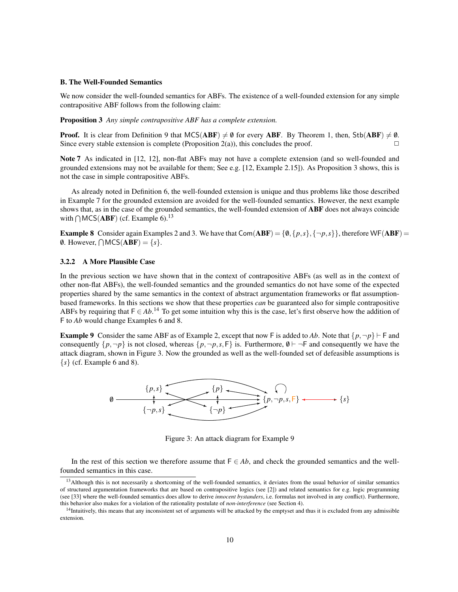#### B. The Well-Founded Semantics

We now consider the well-founded semantics for ABFs. The existence of a well-founded extension for any simple contrapositive ABF follows from the following claim:

Proposition 3 *Any simple contrapositive ABF has a complete extension.*

**Proof.** It is clear from Definition 9 that  $MCS(ABF) \neq \emptyset$  for every ABF. By Theorem 1, then, Stb(ABF)  $\neq \emptyset$ . Since every stable extension is complete (Proposition 2(a)), this concludes the proof.  $\Box$ 

Note 7 As indicated in [12, 12], non-flat ABFs may not have a complete extension (and so well-founded and grounded extensions may not be available for them; See e.g. [12, Example 2.15]). As Proposition 3 shows, this is not the case in simple contrapositive ABFs.

As already noted in Definition 6, the well-founded extension is unique and thus problems like those described in Example 7 for the grounded extension are avoided for the well-founded semantics. However, the next example shows that, as in the case of the grounded semantics, the well-founded extension of **ABF** does not always coincide with  $\bigcap \text{MCS}(\text{ABF})$  (cf. Example 6).<sup>13</sup>

**Example 8** Consider again Examples 2 and 3. We have that  $Com(ABF) = \{0, \{p, s\}, \{\neg p, s\}\}\$ , therefore WF(ABF) = 0. However,  $\bigcap \text{MCS}(\text{ABF}) = \{s\}.$ 

#### 3.2.2 A More Plausible Case

In the previous section we have shown that in the context of contrapositive ABFs (as well as in the context of other non-flat ABFs), the well-founded semantics and the grounded semantics do not have some of the expected properties shared by the same semantics in the context of abstract argumentation frameworks or flat assumptionbased frameworks. In this sections we show that these properties *can* be guaranteed also for simple contrapositive ABFs by requiring that  $F \in Ab$ .<sup>14</sup> To get some intuition why this is the case, let's first observe how the addition of F to *Ab* would change Examples 6 and 8.

**Example 9** Consider the same ABF as of Example 2, except that now F is added to Ab. Note that  $\{p, \neg p\} \vdash F$  and consequently  $\{p, \neg p\}$  is not closed, whereas  $\{p, \neg p, s, F\}$  is. Furthermore,  $\emptyset \vdash \neg F$  and consequently we have the attack diagram, shown in Figure 3. Now the grounded as well as the well-founded set of defeasible assumptions is  $\{s\}$  (cf. Example 6 and 8).



Figure 3: An attack diagram for Example 9

In the rest of this section we therefore assume that  $F \in Ab$ , and check the grounded semantics and the wellfounded semantics in this case.

<sup>&</sup>lt;sup>13</sup>Although this is not necessarily a shortcoming of the well-founded semantics, it deviates from the usual behavior of similar semantics of structured argumentation frameworks that are based on contrapositive logics (see [2]) and related semantics for e.g. logic programming (see [33] where the well-founded semantics does allow to derive *innocent bystanders*, i.e. formulas not involved in any conflict). Furthermore, this behavior also makes for a violation of the rationality postulate of *non-interference* (see Section 4).

<sup>&</sup>lt;sup>14</sup>Intuitively, this means that any inconsistent set of arguments will be attacked by the emptyset and thus it is excluded from any admissible extension.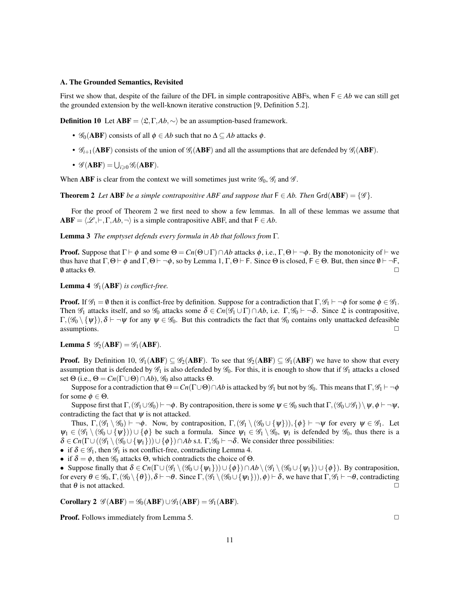#### A. The Grounded Semantics, Revisited

First we show that, despite of the failure of the DFL in simple contrapositive ABFs, when F ∈ *Ab* we can still get the grounded extension by the well-known iterative construction [9, Definition 5.2].

**Definition 10** Let **ABF** =  $\langle \mathcal{L}, \Gamma, Ab, \sim \rangle$  be an assumption-based framework.

- $\mathscr{G}_0$ (**ABF**) consists of all  $\phi \in Ab$  such that no  $\Delta \subseteq Ab$  attacks  $\phi$ .
- $\mathcal{G}_{i+1}(\mathbf{ABF})$  consists of the union of  $\mathcal{G}_i(\mathbf{ABF})$  and all the assumptions that are defended by  $\mathcal{G}_i(\mathbf{ABF})$ .
- $\mathscr{G}(\mathbf{ABF}) = \bigcup_{i \geqslant 0} \mathscr{G}_i(\mathbf{ABF}).$

When **ABF** is clear from the context we will sometimes just write  $\mathscr{G}_0$ ,  $\mathscr{G}_i$  and  $\mathscr{G}$ .

**Theorem 2** *Let* ABF *be a simple contrapositive ABF and suppose that*  $F \in Ab$ *. Then* Grd(ABF) = { $\mathscr{G}$ *}.* 

For the proof of Theorem 2 we first need to show a few lemmas. In all of these lemmas we assume that  $ABF = \langle \mathcal{L}, \vdash, \Gamma, Ab, \neg \rangle$  is a simple contrapositive ABF, and that  $F \in Ab$ .

Lemma 3 *The emptyset defends every formula in Ab that follows from* Γ*.*

**Proof.** Suppose that  $\Gamma \vdash \phi$  and some  $\Theta = Cn(\Theta \cup \Gamma) \cap Ab$  attacks  $\phi$ , i.e.,  $\Gamma, \Theta \vdash \neg \phi$ . By the monotonicity of  $\vdash$  we thus have that  $\Gamma, \Theta \vdash \phi$  and  $\Gamma, \Theta \vdash \neg \phi$ , so by Lemma 1,  $\Gamma, \Theta \vdash F$ . Since  $\Theta$  is closed,  $F \in \Theta$ . But, then since  $\emptyset \vdash \neg F$ ,  $\emptyset$  attacks  $\Theta$ .

**Lemma 4**  $\mathscr{G}_1$ (**ABF**) *is conflict-free.* 

**Proof.** If  $\mathscr{G}_1 = \emptyset$  then it is conflict-free by definition. Suppose for a contradiction that  $\Gamma, \mathscr{G}_1 \vdash \neg \phi$  for some  $\phi \in \mathscr{G}_1$ . Then  $\mathscr{G}_1$  attacks itself, and so  $\mathscr{G}_0$  attacks some  $\delta \in C_n(\mathscr{G}_1 \cup \Gamma) \cap Ab$ , i.e.  $\Gamma, \mathscr{G}_0 \vdash \neg \delta$ . Since  $\mathfrak{L}$  is contrapositive,  $\Gamma_1(\mathscr{G}_0 \setminus \{\psi\}), \delta \vdash \neg \psi$  for any  $\psi \in \mathscr{G}_0$ . But this contradicts the fact that  $\mathscr{G}_0$  contains only unattacked defeasible  $\Box$  assumptions.  $\Box$ 

**Lemma 5**  $\mathscr{G}_2(ABF) = \mathscr{G}_1(ABF)$ .

**Proof.** By Definition 10,  $\mathscr{G}_1(ABF) \subseteq \mathscr{G}_2(ABF)$ . To see that  $\mathscr{G}_2(ABF) \subseteq \mathscr{G}_1(ABF)$  we have to show that every assumption that is defended by  $\mathcal{G}_1$  is also defended by  $\mathcal{G}_0$ . For this, it is enough to show that if  $\mathcal{G}_1$  attacks a closed set  $\Theta$  (i.e.,  $\Theta = Cn(\Gamma \cup \Theta) \cap Ab$ ),  $\mathcal{G}_0$  also attacks  $\Theta$ .

Suppose for a contradiction that  $\Theta = Cn(\Gamma \cup \Theta) \cap Ab$  is attacked by  $\mathscr{G}_1$  but not by  $\mathscr{G}_0$ . This means that  $\Gamma, \mathscr{G}_1 \vdash \neg \phi$ for some  $\phi \in \Theta$ .

Suppose first that  $\Gamma$ ,  $(\mathscr{G}_1 \cup \mathscr{G}_0) \vdash \neg \phi$ . By contraposition, there is some  $\psi \in \mathscr{G}_0$  such that  $\Gamma$ ,  $(\mathscr{G}_0 \cup \mathscr{G}_1) \setminus \psi$ ,  $\phi \vdash \neg \psi$ , contradicting the fact that  $\psi$  is not attacked.

Thus,  $\Gamma_1(\mathscr{G}_1 \setminus \mathscr{G}_0) \vdash \neg \phi$ . Now, by contraposition,  $\Gamma_1(\mathscr{G}_1 \setminus (\mathscr{G}_0 \cup \{\psi\}))$ ,  $\{\phi\} \vdash \neg \psi$  for every  $\psi \in \mathscr{G}_1$ . Let  $\psi_1 \in (\mathscr{G}_1 \setminus (\mathscr{G}_0 \cup \{\psi\}) \cup \{\phi\})$  be such a formula. Since  $\psi_1 \in \mathscr{G}_1 \setminus \mathscr{G}_0$ ,  $\psi_1$  is defended by  $\mathscr{G}_0$ , thus there is a  $\delta \in Cn(\Gamma \cup ((\mathscr{G}_1 \setminus (\mathscr{G}_0 \cup {\psi_1})) \cup {\phi}) \cap Ab$  s.t.  $\Gamma, \mathscr{G}_0 \vdash \neg \delta$ . We consider three possibilities:

• if  $\delta \in \mathscr{G}_1$ , then  $\mathscr{G}_1$  is not conflict-free, contradicting Lemma 4.

• if  $\delta = \phi$ , then  $\mathscr{G}_0$  attacks  $\Theta$ , which contradicts the choice of  $\Theta$ .

• Suppose finally that  $\delta \in C_n(\Gamma \cup (\mathscr{G}_1 \setminus (\mathscr{G}_0 \cup \{\psi_1\})) \cup \{\phi\}) \cap Ab \setminus (\mathscr{G}_1 \setminus (\mathscr{G}_0 \cup \{\psi_1\}) \cup \{\phi\})$ . By contraposition, for every  $\theta \in \mathscr{G}_0$ ,  $\Gamma$ ,  $(\mathscr{G}_0 \setminus {\{\theta\}}), \delta \vdash \neg \theta$ . Since  $\Gamma$ ,  $(\mathscr{G}_1 \setminus (\mathscr{G}_0 \cup {\{\psi_1\}}), \phi) \vdash \delta$ , we have that  $\Gamma$ ,  $\mathscr{G}_1 \vdash \neg \theta$ , contradicting that  $\theta$  is not attacked.

Corollary 2  $\mathscr{G}(ABF) = \mathscr{G}_0(ABF) \cup \mathscr{G}_1(ABF) = \mathscr{G}_1(ABF)$ .

**Proof.** Follows immediately from Lemma 5. ◯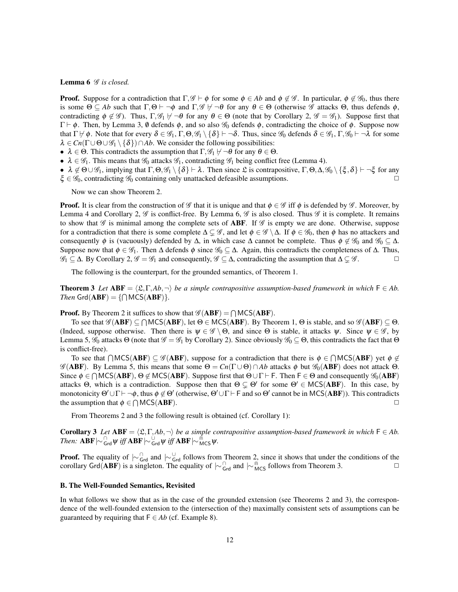#### Lemma 6  $\mathscr G$  is closed.

**Proof.** Suppose for a contradiction that  $\Gamma, \mathscr{G} \vdash \phi$  for some  $\phi \in Ab$  and  $\phi \notin \mathscr{G}$ . In particular,  $\phi \notin \mathscr{G}_0$ , thus there is some  $\Theta \subseteq Ab$  such that  $\Gamma, \Theta \vdash \neg \phi$  and  $\Gamma, \mathscr{G} \not\vdash \neg \theta$  for any  $\theta \in \Theta$  (otherwise  $\mathscr{G}$  attacks  $\Theta$ , thus defends  $\phi$ , contradicting  $\phi \notin \mathscr{G}$ ). Thus,  $\Gamma, \mathscr{G}_1 \not\vdash \neg \theta$  for any  $\theta \in \Theta$  (note that by Corollary 2,  $\mathscr{G} = \mathscr{G}_1$ ). Suppose first that  $\Gamma \vdash \phi$ . Then, by Lemma 3, 0 defends φ, and so also  $\mathcal{G}_0$  defends φ, contradicting the choice of φ. Suppose now that  $\Gamma \vdash \phi$ . Note that for every  $\delta \in \mathscr{G}_1$ ,  $\Gamma, \Theta, \mathscr{G}_1 \setminus {\delta}$   $\vdash \neg \delta$ . Thus, since  $\mathscr{G}_0$  defends  $\delta \in \mathscr{G}_1$ ,  $\Gamma, \mathscr{G}_0 \vdash \neg \lambda$  for some  $\lambda \in C_n(\Gamma \cup \Theta \cup \mathscr{G}_1 \setminus {\delta}) \cap Ab$ . We consider the following possibilities:

- $\lambda \in \Theta$ . This contradicts the assumption that  $\Gamma, \mathscr{G}_1 \not\vdash \neg \theta$  for any  $\theta \in \Theta$ .
- $\lambda \in \mathscr{G}_1$ . This means that  $\mathscr{G}_0$  attacks  $\mathscr{G}_1$ , contradicting  $\mathscr{G}_1$  being conflict free (Lemma 4).
- $\lambda \notin \Theta \cup \mathscr{G}_1$ , implying that  $\Gamma, \Theta, \mathscr{G}_1 \setminus \{\delta\} \vdash \lambda$ . Then since  $\mathfrak{L}$  is contrapositive,  $\Gamma, \Theta, \Delta, \mathscr{G}_0 \setminus \{\xi, \delta\} \vdash \neg \xi$  for any  $\xi \in \mathscr{G}_0$ , contradicting  $\mathscr{G}_0$  containing only unattacked defeasible assumptions.

Now we can show Theorem 2.

**Proof.** It is clear from the construction of G that it is unique and that  $\phi \in \mathcal{G}$  iff  $\phi$  is defended by G. Moreover, by Lemma 4 and Corollary 2,  $\mathscr G$  is conflict-free. By Lemma 6,  $\mathscr G$  is also closed. Thus  $\mathscr G$  it is complete. It remains to show that  $\mathscr G$  is minimal among the complete sets of **ABF**. If  $\mathscr G$  is empty we are done. Otherwise, suppose for a contradiction that there is some complete  $\Delta \subseteq \mathscr{G}$ , and let  $\phi \in \mathscr{G} \setminus \Delta$ . If  $\phi \in \mathscr{G}_0$ , then  $\phi$  has no attackers and consequently  $\phi$  is (vacuously) defended by  $\Delta$ , in which case  $\Delta$  cannot be complete. Thus  $\phi \notin \mathscr{G}_0$  and  $\mathscr{G}_0 \subseteq \Delta$ . Suppose now that  $\phi \in \mathscr{G}_1$ . Then  $\Delta$  defends  $\phi$  since  $\mathscr{G}_0 \subseteq \Delta$ . Again, this contradicts the completeness of  $\Delta$ . Thus,  $\mathscr{G}_1 \subseteq \Delta$ . By Corollary 2,  $\mathscr{G} = \mathscr{G}_1$  and consequently,  $\mathscr{G} \subseteq \Delta$ , contradicting the assumption that  $\Delta \subsetneq \mathscr{G}$ .

The following is the counterpart, for the grounded semantics, of Theorem 1.

**Theorem 3** *Let*  $ABF = \langle \mathfrak{L}, \Gamma, Ab, \neg \rangle$  *be a simple contrapositive assumption-based framework in which*  $F \in Ab$ . *Then*  $\text{Grd}(\text{ABF}) = \{\bigcap \text{MCS}(\text{ABF})\}.$ 

**Proof.** By Theorem 2 it suffices to show that  $\mathscr{G}(ABF) = \bigcap \text{MCS}(ABF)$ .

To see that  $\mathscr{G}(ABF) \subseteq \bigcap {\sf MCS}(ABF)$ , let  $\Theta \in {\sf MCS}(ABF)$ . By Theorem 1,  $\Theta$  is stable, and so  $\mathscr{G}(ABF) \subseteq \Theta$ . (Indeed, suppose otherwise. Then there is  $\psi \in \mathscr{G} \setminus \Theta$ , and since  $\Theta$  is stable, it attacks  $\psi$ . Since  $\psi \in \mathscr{G}$ , by Lemma 5,  $\mathcal{G}_0$  attacks Θ (note that  $\mathcal{G} = \mathcal{G}_1$  by Corollary 2). Since obviously  $\mathcal{G}_0 \subseteq \Theta$ , this contradicts the fact that Θ is conflict-free).

To see that  $\bigcap {\sf MCS}({\bf ABF}) \subseteq \mathscr{G}({\bf ABF})$ , suppose for a contradiction that there is  $\phi \in \bigcap {\sf MCS}({\bf ABF})$  yet  $\phi \notin$  $\mathscr{G}(ABF)$ . By Lemma 5, this means that some  $\Theta = Cn(\Gamma \cup \Theta) \cap Ab$  attacks  $\phi$  but  $\mathscr{G}_0(ABF)$  does not attack  $\Theta$ . Since  $\phi \in \bigcap \text{MCS}(ABF)$ ,  $\Theta \notin \text{MCS}(ABF)$ . Suppose first that  $\Theta \cup \Gamma \vdash F$ . Then  $F \in \Theta$  and consequently  $\mathscr{G}_0(ABF)$ attacks Θ, which is a contradiction. Suppose then that  $\Theta \subsetneq \Theta'$  for some  $\Theta' \in \text{MCS}(ABF)$ . In this case, by monotonicity  $\Theta' \cup \Gamma \vdash \neg \phi$ , thus  $\phi \not\in \Theta'$  (otherwise,  $\Theta' \cup \Gamma \vdash \Gamma$  and so  $\Theta'$  cannot be in MCS(ABF)). This contradicts the assumption that  $\phi \in \bigcap \text{MCS}(\mathbf{ABF})$ .

From Theorems 2 and 3 the following result is obtained (cf. Corollary 1):

**Corollary 3** Let  $ABF = \langle \mathfrak{L}, \Gamma, Ab, \neg \rangle$  be a simple contrapositive assumption-based framework in which  $F \in Ab$ .  $\frac{1}{\pi}$  Then:  $ABF \sim_{Grd}^G \psi$  *iff*  $ABF \sim_{Grd}^G \psi$  *iff*  $ABF \sim_{MCS}^G \psi$ .

**Proof.** The equality of  $\sim_{\text{Grd}}^{\cap}$  and  $\sim_{\text{Grd}}^{\cup}$  follows from Theorem 2, since it shows that under the conditions of the corollary Grd(ABF) is a singleton. The equality of  $\mid \sim \int_{Grd}^{\cap}$  and  $\mid \sim \int_{MCS}^{\cap}$  follows from Theorem 3.

#### B. The Well-Founded Semantics, Revisited

In what follows we show that as in the case of the grounded extension (see Theorems 2 and 3), the correspondence of the well-founded extension to the (intersection of the) maximally consistent sets of assumptions can be guaranteed by requiring that  $F \in Ab$  (cf. Example 8).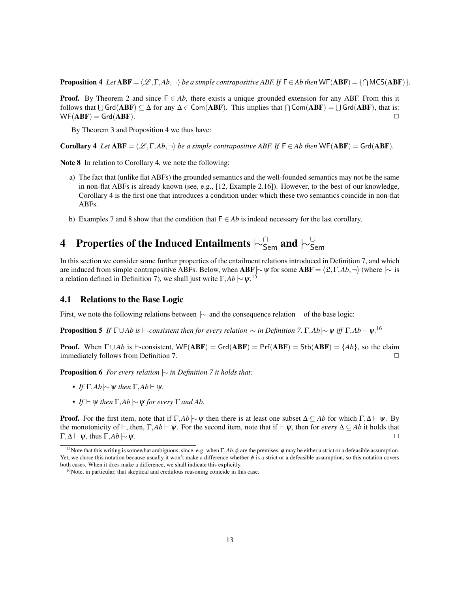**Proposition 4** Let  $ABF = \langle \mathcal{L}, \Gamma, Ab, \neg \rangle$  be a simple contrapositive ABF. If  $F \in Ab$  then  $WF(ABF) = \{\bigcap MCS(ABF)\}$ .

**Proof.** By Theorem 2 and since  $F \in Ab$ , there exists a unique grounded extension for any ABF. From this it follows that  $\bigcup \{Grd(ABF) \subseteq \Delta \}$  for any  $\Delta \in \text{Com}(ABF)$ . This implies that  $\bigcap \text{Com}(ABF) = \bigcup \text{Grd}(ABF)$ , that is:  $WF(ABF) = Grd(ABF).$ 

By Theorem 3 and Proposition 4 we thus have:

**Corollary 4** *Let*  $ABF = \langle \mathcal{L}, \Gamma, Ab, \neg \rangle$  *be a simple contrapositive ABF. If*  $F \in Ab$  *then* WF( $ABF$ ) = Grd( $ABF$ )*.* 

Note 8 In relation to Corollary 4, we note the following:

- a) The fact that (unlike flat ABFs) the grounded semantics and the well-founded semantics may not be the same in non-flat ABFs is already known (see, e.g., [12, Example 2.16]). However, to the best of our knowledge, Corollary 4 is the first one that introduces a condition under which these two semantics coincide in non-flat ABFs.
- b) Examples 7 and 8 show that the condition that  $F \in Ab$  is indeed necessary for the last corollary.

# 4 Properties of the Induced Entailments  $\vdash^\cap_\mathsf{Sem}$  and  $\vdash^\cup_\mathsf{Sem}$

In this section we consider some further properties of the entailment relations introduced in Definition 7, and which are induced from simple contrapositive ABFs. Below, when **ABF**|∼ $\psi$  for some **ABF** =  $\langle \mathfrak{L}, \Gamma, Ab, \neg \rangle$  (where |∼ is a relation defined in Definition 7), we shall just write  $\Gamma, Ab \sim \psi$ .<sup>15</sup>

## 4.1 Relations to the Base Logic

First, we note the following relations between  $\sim$  and the consequence relation  $\vdash$  of the base logic:

**Proposition 5** If  $\Gamma \cup Ab$  is  $\vdash$ -consistent then for every relation  $\sim$  in Definition 7,  $\Gamma, Ab \sim \psi$  iff  $\Gamma, Ab \vdash \psi$ .<sup>16</sup>

**Proof.** When  $\Gamma \cup Ab$  is  $\vdash$ -consistent, WF(ABF) = Grd(ABF) = Prf(ABF) = Stb(ABF) = {*Ab*}, so the claim  $\Box$  immediately follows from Definition 7.

Proposition 6 *For every relation*  $\sim$  *in Definition* 7 *it holds that:* 

- *• If*  $\Gamma$ *,Ab*  $\sim$   $\psi$  *then*  $\Gamma$ *,Ab*  $\vdash$   $\psi$ *.*
- *If*  $\vdash$  ψ *then*  $\Gamma$ *,Ab*  $\sim$  ψ *for every*  $\Gamma$  *and Ab.*

**Proof.** For the first item, note that if  $\Gamma$ , $Ab \sim \psi$  then there is at least one subset  $\Delta \subseteq Ab$  for which  $\Gamma$ , $\Delta \vdash \psi$ . By the monotonicity of  $\vdash$ , then,  $\Gamma$ *,Ab*  $\vdash$   $\psi$ . For the second item, note that if  $\vdash \psi$ , then for *every*  $\Delta \subseteq Ab$  it holds that  $Γ, Δ ⊢ ψ$ , thus  $Γ, Ab \sim ψ$ .

<sup>&</sup>lt;sup>15</sup>Note that this writing is somewhat ambiguous, since, e.g. when Γ,*Ab*, φ are the premises, φ may be either a strict or a defeasible assumption. Yet, we chose this notation because usually it won't make a difference whether  $\phi$  is a strict or a defeasible assumption, so this notation covers both cases. When it does make a difference, we shall indicate this explicitly.

<sup>16</sup>Note, in particular, that skeptical and credulous reasoning coincide in this case.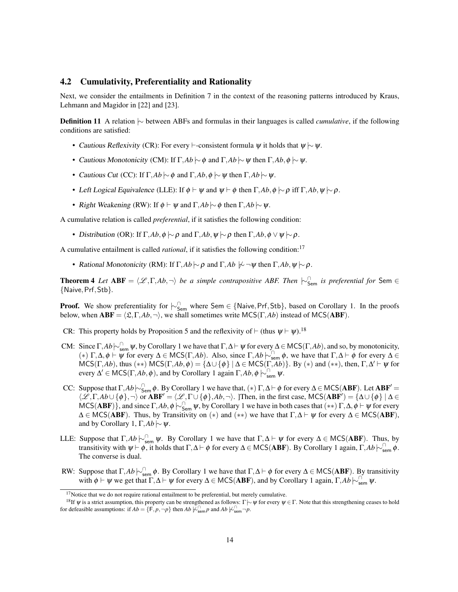## 4.2 Cumulativity, Preferentiality and Rationality

Next, we consider the entailments in Definition 7 in the context of the reasoning patterns introduced by Kraus, Lehmann and Magidor in [22] and [23].

Definition 11 A relation |∼ between ABFs and formulas in their languages is called *cumulative*, if the following conditions are satisfied:

- Cautious Reflexivity (CR): For every  $\vdash$ -consistent formula  $\psi$  it holds that  $\psi \sim \psi$ .
- Cautious Monotonicity (CM): If  $\Gamma$ *,Ab*  $\sim$  φ and  $\Gamma$ *,Ab*  $\sim$  ψ then  $\Gamma$ *,Ab*, φ  $\sim$  ψ.
- *Cautious Cut* (CC): If Γ, $Ab \sim \phi$  and Γ, $Ab, \phi \sim \psi$  then Γ, $Ab \sim \psi$ .
- Left Logical Equivalence (LLE): If  $\phi \vdash \psi$  and  $\psi \vdash \phi$  then  $\Gamma, Ab, \phi \models \phi$  iff  $\Gamma, Ab, \psi \models \rho$ .
- Right Weakening (RW): If  $\phi \vdash \psi$  and  $\Gamma$ *, Ab*  $\sim \phi$  then  $\Gamma$ *, Ab*  $\sim \psi$ *.*

A cumulative relation is called *preferential*, if it satisfies the following condition:

• Distribution (OR): If  $\Gamma$ *,Ab*, $\phi \sim \rho$  and  $\Gamma$ *,Ab*, $\psi \sim \rho$  then  $\Gamma$ *,Ab*, $\phi \vee \psi \sim \rho$ .

A cumulative entailment is called *rational*, if it satisfies the following condition:<sup>17</sup>

• Rational Monotonicity (RM): If  $\Gamma$ *,Ab*  $\sim \rho$  and  $\Gamma$ *,Ab*  $\sim \sim \psi$  then  $\Gamma$ *,Ab*,  $\psi \sim \rho$ .

**Theorem 4** *Let*  $ABF = \langle \mathcal{L}, \Gamma, Ab, \neg \rangle$  *be a simple contrapositive ABF. Then*  $\sim$ <sup> $\cap$ </sup><sub>Sem</sub> *is preferential for* Sem ∈ {Naive,Prf,Stb}*.*

**Proof.** We show preferentiality for  $\sim_{\text{Sem}}^{\cap}$  where Sem ∈ {Naive, Prf, Stb}, based on Corollary 1. In the proofs below, when  $ABF = \langle \mathfrak{L}, \Gamma, Ab, \neg \rangle$ , we shall sometimes write MCS( $\Gamma, Ab$ ) instead of MCS( $ABF$ ).

- CR: This property holds by Proposition 5 and the reflexivity of  $\vdash$  (thus  $\psi \vdash \psi$ ).<sup>18</sup>
- CM: Since  $\Gamma$ ,  $Ab \sim_{\text{sem}}^{\cap} \psi$ , by Corollary 1 we have that  $\Gamma$ ,  $\Delta \vdash \psi$  for every  $\Delta \in \text{MCS}(\Gamma, Ab)$ , and so, by monotonicity, (\*) Γ,  $\Delta$ ,  $\phi \vdash \psi$  for every  $\Delta \in \text{MCS}(\Gamma, Ab)$ . Also, since  $\Gamma$ ,  $Ab \models_{\text{sem}}^{\cap} \phi$ , we have that  $\Gamma$ ,  $\Delta \vdash \phi$  for every  $\Delta \in$  $MCS(\Gamma, Ab)$ , thus  $(**)$   $MCS(\Gamma, Ab, \phi) = {\{\Delta \cup {\{\phi}\}} \mid \Delta \in MCS(\Gamma, Ab)\}.$  By  $(*)$  and  $(**)$ , then,  $\Gamma, \Delta' \vdash \psi$  for every  $\Delta' \in \text{MCS}(\Gamma, Ab, \phi)$ , and by Corollary 1 again  $\Gamma, Ab, \phi \models_{sem}^{\cap} \psi$ .
- CC: Suppose that  $\Gamma$ , $Ab \sim_{\text{Sem}}^{\cap} \phi$ . By Corollary 1 we have that,  $(*) \Gamma$ , $\Delta \vdash \phi$  for every  $\Delta \in \text{MCS}(ABF)$ . Let  $ABF' =$  $\langle \mathscr{L}, \Gamma, Ab \cup \{\phi\}, \neg \rangle$  or  $ABF' = \langle \mathscr{L}, \Gamma \cup \{\phi\}, Ab, \neg \rangle$ . ]Then, in the first case, MCS( $ABF'$ ) = { $\Delta \cup \{\phi\}$  |  $\Delta \in$ MCS(ABF)}, and since  $\Gamma$ ,  $Ab$ ,  $\phi$   $\sim$   $\Gamma_{\text{Sem}}^{\cap}$   $\psi$ , by Corollary 1 we have in both cases that  $(**) \Gamma$ ,  $\Delta$ ,  $\phi \vdash \psi$  for every  $\Delta \in \text{MCS}(ABF)$ . Thus, by Transitivity on (\*) and (\*\*) we have that  $\Gamma, \Delta \vdash \psi$  for every  $\Delta \in \text{MCS}(ABF)$ , and by Corollary 1,  $\Gamma$ *, Ab*  $\sim \psi$ .
- LLE: Suppose that  $\Gamma$ , *Ab*  $\sim_{\text{sem}}^{\cap} \psi$ . By Corollary 1 we have that  $\Gamma$ ,  $\Delta \vdash \psi$  for every  $\Delta \in \text{MCS}(ABF)$ . Thus, by transitivity with  $\psi \vdash \phi$ , it holds that  $\Gamma, \Delta \vdash \phi$  for every  $\Delta \in \text{MCS}(ABF)$ . By Corollary 1 again,  $\Gamma, Ab \,\sim_{\text{sem}}^{\cap} \phi$ . The converse is dual.
- RW: Suppose that  $\Gamma$ , $Ab \sim_{\text{sem}}^{\cap} \phi$ . By Corollary 1 we have that  $\Gamma$ , $\Delta \vdash \phi$  for every  $\Delta \in \text{MCS}(ABF)$ . By transitivity with  $\phi \vdash \psi$  we get that  $\Gamma, \Delta \vdash \psi$  for every  $\Delta \in \text{MCS}(ABF)$ , and by Corollary 1 again,  $\Gamma, Ab \sim_{\text{sem}}^{\Gamma} \psi$ .

 $17$ Notice that we do not require rational entailment to be preferential, but merely cumulative.

<sup>&</sup>lt;sup>18</sup>If  $\psi$  is a strict assumption, this property can be strengthened as follows: Γ $\sim \psi$  for every  $\psi \in \Gamma$ . Note that this strengthening ceases to hold for defeasible assumptions: if  $Ab = \{F, p, \neg p\}$  then  $Ab \nvDash_{sem}^{\cap} p$  and  $Ab \nvDash_{sem}^{\cap} \neg p$ .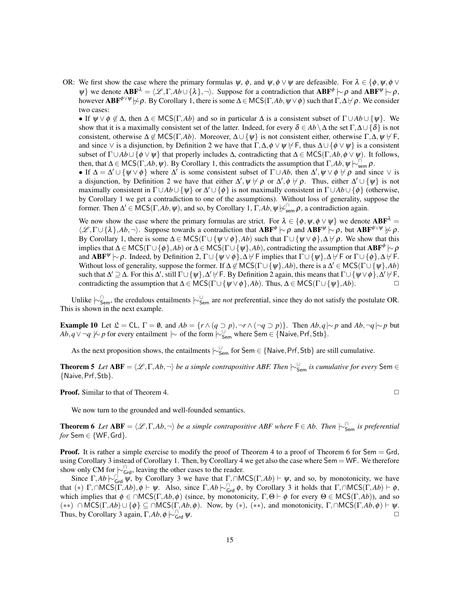OR: We first show the case where the primary formulas  $\psi$ ,  $\phi$ , and  $\psi$ ,  $\phi \lor \psi$  are defeasible. For  $\lambda \in \{\phi, \psi, \phi \lor \psi\}$  $\psi$ } we denote  $ABF^{\lambda} = \langle \mathcal{L}, \Gamma, Ab \cup \{\lambda\}, \neg \rangle$ . Suppose for a contradiction that  $ABF^{\phi} \sim \rho$  and  $ABF^{\psi} \sim \rho$ , however  $ABF^{\phi\vee\psi}$  | $\sim \rho$ . By Corollary 1, there is some  $\Delta \in \mathsf{MCS}(\Gamma, Ab, \psi \vee \phi)$  such that  $\Gamma, \Delta \nvdash \rho$ . We consider two cases:

• If  $\psi \lor \phi \not\in \Delta$ , then  $\Delta \in \text{MCS}(\Gamma, Ab)$  and so in particular  $\Delta$  is a consistent subset of  $\Gamma \cup Ab \cup \{\psi\}$ . We show that it is a maximally consistent set of the latter. Indeed, for every  $\delta \in Ab \setminus \Delta$  the set  $\Gamma, \Delta \cup \{\delta\}$  is not consistent, otherwise  $\Delta \notin \text{MCS}(\Gamma, Ab)$ . Moreover,  $\Delta \cup \{\psi\}$  is not consistent either, otherwise  $\Gamma, \Delta, \psi \nvdash F$ , and since  $\vee$  is a disjunction, by Definition 2 we have that  $\Gamma, \Delta, \phi \vee \psi \nvdash F$ , thus  $\Delta \cup {\phi \vee \psi}$  is a consistent subset of  $\Gamma \cup Ab \cup \{\phi \vee \psi\}$  that properly includes  $\Delta$ , contradicting that  $\Delta \in \text{MCS}(\Gamma, Ab, \phi \vee \psi)$ . It follows, then, that  $\Delta \in \text{MCS}(\Gamma, Ab, \psi)$ . By Corollary 1, this contradicts the assumption that  $\Gamma, Ab, \psi \models_{\text{sem}}^{\cap} \rho$ .

• If  $\Delta = \Delta' \cup {\psi \vee \phi}$  where  $\Delta'$  is some consistent subset of  $\Gamma \cup Ab$ , then  $\Delta', \psi \vee \phi \nvdash \rho$  and since  $\vee$  is a disjunction, by Definition 2 we have that either  $\Delta', \psi \not\vdash \rho$  or  $\Delta', \phi \not\vdash \rho$ . Thus, either  $\Delta' \cup \{\psi\}$  is not maximally consistent in  $\Gamma \cup Ab \cup \{\psi\}$  or  $\Delta' \cup \{\phi\}$  is not maximally consistent in  $\Gamma \cup Ab \cup \{\phi\}$  (otherwise, by Corollary 1 we get a contradiction to one of the assumptions). Without loss of generality, suppose the former. Then  $\Delta' \in \text{MCS}(\Gamma, Ab, \psi)$ , and so, by Corollary 1,  $\Gamma, Ab, \psi \not\sim_{\text{sem}}^{\cap} \rho$ , a contradiction again.

We now show the case where the primary formulas are strict. For  $\lambda \in \{\phi, \psi, \phi \vee \psi\}$  we denote  $ABF^{\lambda} =$  $\langle \mathcal{L}, \Gamma \cup \{\lambda\}, Ab, \neg \rangle$ . Suppose towards a contradiction that  $ABF^{\phi} \sim \rho$  and  $ABF^{\psi} \sim \rho$ , but  $ABF^{\phi \vee \psi} \not\sim \rho$ . By Corollary 1, there is some  $\Delta \in \text{MCS}(\Gamma \cup \{\psi \lor \phi\}, Ab)$  such that  $\Gamma \cup \{\psi \lor \phi\}, \Delta \nvdash \rho$ . We show that this implies that  $\Delta$  ∈ MCS( $\Gamma$ ∪ { $\phi$ }, $Ab$ ) or  $\Delta$  ∈ MCS( $\Gamma$ ∪ { $\psi$ }, $Ab$ ), contradicting the assumption that  $ABF^\phi \sim \rho$ and  $ABF^{\psi} \sim \rho$ . Indeed, by Definition 2,  $\Gamma \cup {\psi \lor \phi}, \Delta \nvdash F$  implies that  $\Gamma \cup {\psi}, \Delta \nvdash F$  or  $\Gamma \cup {\phi}, \Delta \nvdash F$ . Without loss of generality, suppose the former. If  $\Delta \notin \mathsf{MCS}(\Gamma \cup \{\psi\}, Ab)$ , there is a  $\Delta' \in \mathsf{MCS}(\Gamma \cup \{\psi\}, Ab)$ such that  $\Delta'\supseteq\Delta$ . For this  $\Delta'$ , still  $\Gamma\cup\{\psi\}, \Delta'\not\models \mathsf{F}$ . By Definition 2 again, this means that  $\Gamma\cup\{\psi\vee\phi\}, \Delta'\not\models \mathsf{F}$ , contradicting the assumption that  $\Delta \in \text{MCS}(\Gamma \cup \{\psi \lor \phi\}, Ab)$ . Thus,  $\Delta \in \text{MCS}(\Gamma \cup \{\psi\}, Ab)$ .

Unlike  $\vdash_{\mathsf{Sem}}^{\cap}$ , the credulous entailments  $\vdash_{\mathsf{Sem}}^{\cup}$  are *not* preferential, since they do not satisfy the postulate OR. This is shown in the next example.

Example 10 Let  $\mathfrak{L} = CL$ ,  $\Gamma = \emptyset$ , and  $Ab = \{r \wedge (q \supset p), \neg r \wedge (\neg q \supset p)\}\)$ . Then  $Ab, q \sim p$  and  $Ab, \neg q \sim p$  but *Ab*, *q*  $\sqrt{\ }$   $\sim$  *p* for every entailment  $| \sim$  of the form  $| \sim \frac{1}{5}$  where Sem ∈ {Naive, Prf, Stb}.

As the next proposition shows, the entailments  $\vdash_{Sem}^{\cup}$  for Sem ∈ {Naive, Prf, Stb} are still cumulative.

**Theorem 5** *Let*  $ABF = \langle \mathcal{L}, \Gamma, Ab, \neg \rangle$  *be a simple contrapositive ABF. Then*  $\sim^{\cup}_{Sem}$  *is cumulative for every* Sem ∈ {Naive,Prf,Stb}*.*

**Proof.** Similar to that of Theorem 4. ◯

We now turn to the grounded and well-founded semantics.

**Theorem 6** *Let*  $ABF = \langle \mathcal{L}, \Gamma, Ab, \neg \rangle$  *be a simple contrapositive ABF where*  $F \in Ab$ . Then  $\sim_{Sem}^{\cap}$  *is preferential for* Sem  $\in$  {WF, Grd}.

**Proof.** It is rather a simple exercise to modify the proof of Theorem 4 to a proof of Theorem 6 for Sem = Grd, using Corollary 3 instead of Corollary 1. Then, by Corollary 4 we get also the case where Sem = WF. We therefore show only CM for  $\sim_{\text{Grd}}^{\cap}$ , leaving the other cases to the reader.

Since  $\Gamma$ , *Ab*  $\sim$ <sub>Grd</sub>  $\psi$ , by Corollary 3 we have that  $\Gamma$ , ∩MCS( $\Gamma$ , *Ab*)  $\vdash \psi$ , and so, by monotonicity, we have that (\*)  $\Gamma$ ,∩MCS( $\Gamma$ ,*Ab*), $\phi \vdash \psi$ . Also, since  $\Gamma$ ,*Ab*  $\sim_{\text{Grd}}^{\cap} \phi$ , by Corollary 3 it holds that  $\Gamma$ ,∩MCS( $\Gamma$ ,*Ab*)  $\vdash \phi$ , which implies that  $\phi \in \bigcap MCS(\Gamma, Ab, \phi)$  (since, by monotonicity,  $\Gamma, \Theta \vdash \phi$  for every  $\Theta \in MCS(\Gamma, Ab)$ ), and so (\*\*) ∩ MCS(Γ,Ab)  $\cup$  { $\phi$ } ⊆ ∩MCS(Γ,Ab, $\phi$ ). Now, by (\*), (\*\*), and monotonicity, Γ,∩MCS(Γ,Ab, $\phi$ )  $\vdash \psi$ . Thus, by Corollary 3 again,  $\Gamma$ , *Ab*,  $\phi \sim_{Grd}^{\Gamma} \psi$ .  $\Box$   $\Box$   $\Box$   $\Box$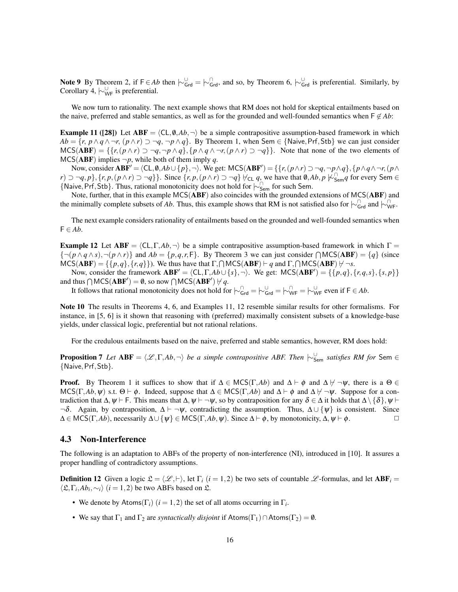Note 9 By Theorem 2, if  $F \in Ab$  then  $\sim_{Grd}^{\cup} = \sim_{Grd}^{\cap}$ , and so, by Theorem 6,  $\sim_{Grd}^{\cup}$  is preferential. Similarly, by Corollary 4,  $\vdash_{\mathsf{WF}}^{\cup}$  is preferential.

We now turn to rationality. The next example shows that RM does not hold for skeptical entailments based on the naive, preferred and stable semantics, as well as for the grounded and well-founded semantics when  $\mathsf{F} \notin Ab$ :

**Example 11 ([28])** Let  $ABF = \langle CL, \emptyset, Ab, \neg \rangle$  be a simple contrapositive assumption-based framework in which  $Ab = \{r, p \wedge q \wedge \neg r, (p \wedge r) \supset \neg q, \neg p \wedge q\}.$  By Theorem 1, when Sem  $\in \{\text{Naive}, \text{Prf}, \text{Stb}\}\$ we can just consider  $MCS(ABF) = \{ \{r, (p \wedge r) \supset \neg q, \neg p \wedge q \}, \{ p \wedge q \wedge \neg r, (p \wedge r) \supset \neg q \} \}.$  Note that none of the two elements of  $MCS(ABF)$  implies  $\neg p$ , while both of them imply *q*.

Now, consider  $ABF' = \langle CL, \emptyset, Ab \cup \{p\}, \neg\rangle$ . We get:  $MCS(ABF') = \{\{r, (p \wedge r) \supset \neg q, \neg p \wedge q\}, \{p \wedge q \wedge \neg r, (p \wedge q) \wedge q\} \wedge q\}$  $(r) \supset \neg q, p\}, \{r, p, (p \wedge r) \supset \neg q\}\}.$  Since  $\{r, p, (p \wedge r) \supset \neg q\}$   $\forall$  c<sub>L</sub> q<sub>2</sub> we have that  $\emptyset$ , Ab,  $p \not\downarrow_{\mathsf{Sem}}^{\mathbb{C}} q$  for every Sem  $\in$ {Naive,Prf,Stb}. Thus, rational monotonicity does not hold for |∼<sup>∩</sup> Sem for such Sem.

Note, further, that in this example MCS(ABF) also coincides with the grounded extensions of MCS(ABF) and the minimally complete subsets of *Ab*. Thus, this example shows that RM is not satisfied also for  $\vdash_{\mathsf{Grd}}^{\cap}$  and  $\vdash_{\mathsf{WF}}^{\cap}$ .

The next example considers rationality of entailments based on the grounded and well-founded semantics when  $F \in Ab$ .

**Example 12** Let  $ABF = \langle CL, \Gamma, Ab, \neg \rangle$  be a simple contrapositive assumption-based framework in which  $\Gamma =$  $\{\neg(p \land q \land s), \neg(p \land r)\}\$  and  $Ab = \{p, q, r, F\}$ . By Theorem 3 we can just consider  $\bigcap {\sf MCS}({\bf ABF}) = \{q\}$  (since  $MCS(ABF) = \{\{p,q\}, \{r,q\}\}\$ . We thus have that  $\Gamma, \bigcap MCS(ABF) \vdash q$  and  $\Gamma, \bigcap MCS(ABF) \not\vdash \neg s$ .

Now, consider the framework  $ABF' = \langle CL, \Gamma, Ab \cup \{s\}, \neg \rangle$ . We get:  $MCS(ABF') = \{\{p,q\}, \{r,q,s\}, \{s,p\}\}\$ and thus  $\bigcap \text{MCS}(\mathbf{ABF}') = \emptyset$ , so now  $\bigcap \text{MCS}(\mathbf{ABF}') \not\vdash q$ .

It follows that rational monotonicity does not hold for  $\sim_{\text{Grd}}^{\cap} = \sim_{\text{Grd}}^{\cup} = \sim_{\text{WF}}^{\cap} = \sim_{\text{WF}}^{\cup}$  even if  $\mathsf{F} \in Ab$ .

Note 10 The results in Theorems 4, 6, and Examples 11, 12 resemble similar results for other formalisms. For instance, in [5, 6] is it shown that reasoning with (preferred) maximally consistent subsets of a knowledge-base yields, under classical logic, preferential but not rational relations.

For the credulous entailments based on the naive, preferred and stable semantics, however, RM does hold:

**Proposition 7** *Let*  $ABF = \langle \mathcal{L}, \Gamma, Ab, \neg \rangle$  *be a simple contrapositive ABF. Then*  $\vdash_{Sem}^{\cup}$  *satisfies RM for* Sem ∈ {Naive,Prf,Stb}*.*

**Proof.** By Theorem 1 it suffices to show that if  $\Delta \in \text{MCS}(\Gamma, Ab)$  and  $\Delta \vdash \phi$  and  $\Delta \not\models \neg \psi$ , there is a  $\Theta \in$  $MCS(\Gamma, Ab, \psi)$  s.t.  $\Theta \vdash \phi$ . Indeed, suppose that  $\Delta \in MCS(\Gamma, Ab)$  and  $\Delta \vdash \phi$  and  $\Delta \not \vdash \neg \psi$ . Suppose for a contradiction that  $\Delta, \psi \vdash F$ . This means that  $\Delta, \psi \vdash \neg \psi$ , so by contraposition for any  $\delta \in \Delta$  it holds that  $\Delta \setminus \{\delta\}, \psi \vdash$  $\neg \delta$ . Again, by contraposition,  $\Delta \vdash \neg \psi$ , contradicting the assumption. Thus,  $\Delta \cup {\psi}$  is consistent. Since  $\Delta \in \text{MCS}(\Gamma, Ab)$ , necessarily  $\Delta \cup \{\psi\} \in \text{MCS}(\Gamma, Ab, \psi)$ . Since  $\Delta \vdash \phi$ , by monotonicity,  $\Delta, \psi \vdash \phi$ .

## 4.3 Non-Interference

The following is an adaptation to ABFs of the property of non-interference (NI), introduced in [10]. It assures a proper handling of contradictory assumptions.

**Definition 12** Given a logic  $\mathcal{L} = \langle \mathcal{L}, \vdash \rangle$ , let  $\Gamma_i$  ( $i = 1, 2$ ) be two sets of countable  $\mathcal{L}$ -formulas, and let ABF<sub>i</sub> =  $\langle \mathfrak{L}, \Gamma_i, Ab_i, \sim_i \rangle$  (*i* = 1, 2) be two ABFs based on  $\mathfrak{L}$ .

- We denote by Atoms( $\Gamma_i$ ) ( $i = 1, 2$ ) the set of all atoms occurring in  $\Gamma_i$ .
- We say that  $\Gamma_1$  and  $\Gamma_2$  are *syntactically disjoint* if Atoms( $\Gamma_1$ ) ∩ Atoms( $\Gamma_2$ ) = 0.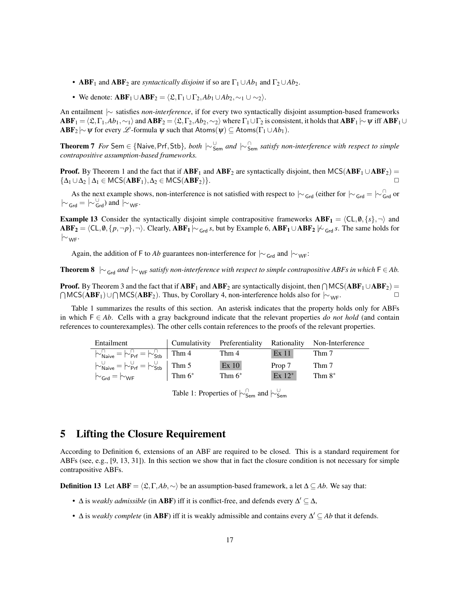- **ABF**<sub>1</sub> and **ABF**<sub>2</sub> are *syntactically disjoint* if so are  $\Gamma_1 \cup Ab_1$  and  $\Gamma_2 \cup Ab_2$ .
- We denote:  $\mathbf{ABF}_1 \cup \mathbf{ABF}_2 = \langle \mathfrak{L}, \Gamma_1 \cup \Gamma_2, Ab_1 \cup Ab_2, \sim_1 \cup \sim_2 \rangle$ .

An entailment |∼ satisfies *non-interference*, if for every two syntactically disjoint assumption-based frameworks  $ABF_1 = \langle \mathfrak{L},\Gamma_1,Ab_1,\sim_1 \rangle$  and  $ABF_2 = \langle \mathfrak{L},\Gamma_2,Ab_2,\sim_2 \rangle$  where  $\Gamma_1 \cup \Gamma_2$  is consistent, it holds that  $ABF_1 \sim \psi$  iff  $ABF_1 \cup$  $\mathbf{ABF}_2 \sim \psi$  for every  $\mathscr{L}$ -formula  $\psi$  such that Atoms( $\psi$ ) ⊆ Atoms( $\Gamma_1 \cup Ab_1$ ).

Theorem 7 *For* Sem ∈ {Naive, Prf, Stb}, *both*  $\sim_{\text{Sem}}^{\cup}$  and  $\sim_{\text{Sem}}^{\cap}$  satisfy non-interference with respect to simple *contrapositive assumption-based frameworks.*

**Proof.** By Theorem 1 and the fact that if  $ABF_1$  and  $ABF_2$  are syntactically disjoint, then MCS( $ABF_1 \cup ABF_2$ ) =  $\{\Delta_1 \cup \Delta_2 \mid \Delta_1 \in \text{MCS}(\mathbf{ABF}_1), \Delta_2 \in \text{MCS}(\mathbf{ABF}_2)\}.$ 

As the next example shows, non-interference is not satisfied with respect to  $|_V$ <sub>Grd</sub> (either for  $|_V$ <sub>Grd</sub> =  $|_V$ <sup>∩</sup><sub>Grd</sub> or  $|\sim_{\text{Grd}} = |\sim_{\text{Grd}}^{\cup}$  and  $|\sim_{\text{WF}}$ .

**Example 13** Consider the syntactically disjoint simple contrapositive frameworks  $ABF_1 = \langle CL, \emptyset, \{s\}, \neg \rangle$  and  $ABF_2 = \langle CL, \emptyset, \{p, \neg p\}, \neg \rangle$ . Clearly,  $ABF_1 \sim_{Grd} s$ , but by Example 6,  $ABF_1 \cup ABF_2 \not\sim_{Grd} s$ . The same holds for  $|∼_{WF}$ .

Again, the addition of F to *Ab* guarantees non-interference for  $|~\sim$ <sub>Grd</sub> and  $|~\sim$ <sub>WF</sub>:

Theorem 8  $|∼_{Grd}$  *and*  $|∼_{WF}$  *satisfy non-interference with respect to simple contrapositive ABFs in which*  $F ∈ Ab$ .

**Proof.** By Theorem 3 and the fact that if  $ABF_1$  and  $ABF_2$  are syntactically disjoint, then  $\bigcap {\sf MCS}(ABF_1 \cup ABF_2)$  =  $\bigcap \text{MCS}(\text{ABF}_1) \cup \bigcap \text{MCS}(\text{ABF}_2)$ . Thus, by Corollary 4, non-interference holds also for  $\big| \sim_{\text{WF}}$ .

Table 1 summarizes the results of this section. An asterisk indicates that the property holds only for ABFs in which F ∈ *Ab*. Cells with a gray background indicate that the relevant properties *do not hold* (and contain references to counterexamples). The other cells contain references to the proofs of the relevant properties.

| Entailment                                                                                     |           |           |                  | Cumulativity Preferentiality Rationality Non-Interference |
|------------------------------------------------------------------------------------------------|-----------|-----------|------------------|-----------------------------------------------------------|
| $\sim_{\text{Naive}}^{\cap} = \sim_{\text{Prf}}^{\cap} = \sim_{\text{Stb}}^{\cap}$ Thm 4       |           | Thm 4     | Ex <sub>11</sub> | Thm 7                                                     |
| $\sim_{\mathsf{Naive}}^{\cup} = \sim_{\mathsf{Prf}}^{\cup} = \sim_{\mathsf{Stb}}^{\cup}$ Thm 5 |           | Ex10      | Prop 7           | Thm 7                                                     |
| $\sim_{\mathsf{Grd}} = \sim_{\mathsf{WF}}$                                                     | Thm $6^*$ | Thm $6^*$ | $Ex 12^*$        | Thm $8^*$                                                 |

Table 1: Properties of  $\vdash_{\mathsf{Sem}}^{\cap}$  and  $\vdash_{\mathsf{Sem}}^{\cup}$ 

# 5 Lifting the Closure Requirement

According to Definition 6, extensions of an ABF are required to be closed. This is a standard requirement for ABFs (see, e.g., [9, 13, 31]). In this section we show that in fact the closure condition is not necessary for simple contrapositive ABFs.

**Definition 13** Let  $ABF = \langle \mathcal{L}, \Gamma, Ab, \sim \rangle$  be an assumption-based framework, a let  $\Delta \subseteq Ab$ . We say that:

- $\Delta$  is *weakly admissible* (in **ABF**) iff it is conflict-free, and defends every  $\Delta' \subseteq \Delta$ ,
- $\Delta$  is *weakly complete* (in **ABF**) iff it is weakly admissible and contains every  $\Delta' \subseteq Ab$  that it defends.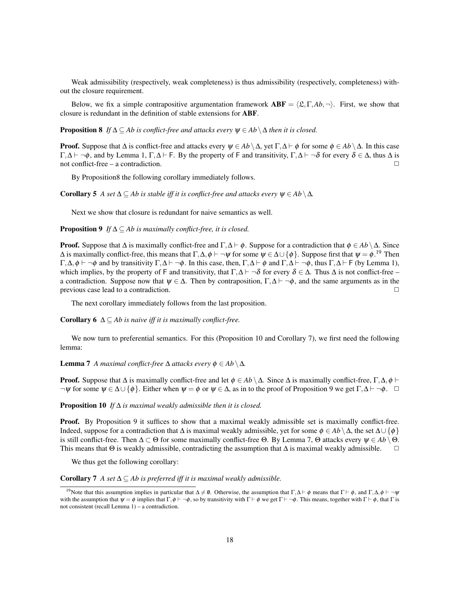Weak admissibility (respectively, weak completeness) is thus admissibility (respectively, completeness) without the closure requirement.

Below, we fix a simple contrapositive argumentation framework  $ABF = \langle \mathfrak{L}, \Gamma, Ab, \neg \rangle$ . First, we show that closure is redundant in the definition of stable extensions for ABF.

**Proposition 8** *If*  $\Delta \subset Ab$  *is conflict-free and attacks every*  $\psi \in Ab \setminus \Delta$  *then it is closed.* 

**Proof.** Suppose that  $\Delta$  is conflict-free and attacks every  $\psi \in Ab \setminus \Delta$ , yet  $\Gamma, \Delta \vdash \phi$  for some  $\phi \in Ab \setminus \Delta$ . In this case  $\Gamma, \Delta \vdash \neg \phi$ , and by Lemma 1, Γ, $\Delta \vdash$  F. By the property of F and transitivity, Γ, $\Delta \vdash \neg \delta$  for every  $\delta \in \Delta$ , thus  $\Delta$  is not conflict-free – a contradiction.

By Proposition8 the following corollary immediately follows.

**Corollary 5** *A set*  $\Delta \subseteq Ab$  *is stable iff it is conflict-free and attacks every*  $\psi \in Ab \setminus \Delta$ *.* 

Next we show that closure is redundant for naive semantics as well.

**Proposition 9** *If*  $\Delta \subseteq Ab$  *is maximally conflict-free, it is closed.* 

**Proof.** Suppose that  $\Delta$  is maximally conflict-free and  $\Gamma$ ,  $\Delta \vdash \phi$ . Suppose for a contradiction that  $\phi \in Ab \setminus \Delta$ . Since  $\Delta$  is maximally conflict-free, this means that  $\Gamma, \Delta, \phi \vdash \neg \psi$  for some  $\psi \in \Delta \cup \{\phi\}$ . Suppose first that  $\psi = \phi$ .<sup>19</sup> Then  $\Gamma, \Delta, \phi \vdash \neg \phi$  and by transitivity  $\Gamma, \Delta \vdash \neg \phi$ . In this case, then,  $\Gamma, \Delta \vdash \phi$  and  $\Gamma, \Delta \vdash \neg \phi$ , thus  $\Gamma, \Delta \vdash F$  (by Lemma 1), which implies, by the property of F and transitivity, that  $\Gamma, \Delta \vdash \neg \delta$  for every  $\delta \in \Delta$ . Thus  $\Delta$  is not conflict-free – a contradiction. Suppose now that  $\psi \in \Delta$ . Then by contraposition,  $\Gamma, \Delta \vdash \neg \phi$ , and the same arguments as in the previous case lead to a contradiction.

The next corollary immediately follows from the last proposition.

**Corollary 6**  $\Delta \subseteq Ab$  *is naive iff it is maximally conflict-free.* 

We now turn to preferential semantics. For this (Proposition 10 and Corollary 7), we first need the following lemma:

**Lemma 7** *A maximal conflict-free*  $\Delta$  *attacks every*  $\phi \in Ab \setminus \Delta$ *.* 

**Proof.** Suppose that  $\Delta$  is maximally conflict-free and let  $\phi \in Ab \setminus \Delta$ . Since  $\Delta$  is maximally conflict-free,  $\Gamma, \Delta, \phi \vdash$  $\neg \psi$  for some  $\psi \in \Delta \cup {\phi}$ . Either when  $\psi = \phi$  or  $\psi \in \Delta$ , as in to the proof of Proposition 9 we get  $\Gamma, \Delta \vdash \neg \phi$ .  $\Box$ 

Proposition 10 *If* ∆ *is maximal weakly admissible then it is closed.*

**Proof.** By Proposition 9 it suffices to show that a maximal weakly admissible set is maximally conflict-free. Indeed, suppose for a contradiction that  $\Delta$  is maximal weakly admissible, yet for some  $\phi \in Ab \setminus \Delta$ , the set  $\Delta \cup \{\phi\}$ is still conflict-free. Then  $\Delta \subset \Theta$  for some maximally conflict-free  $\Theta$ . By Lemma 7,  $\Theta$  attacks every  $\psi \in Ab \setminus \Theta$ . This means that  $\Theta$  is weakly admissible, contradicting the assumption that  $\Delta$  is maximal weakly admissible.  $\Box$ 

We thus get the following corollary:

Corollary 7 *A set*  $\Delta ⊆$  *Ab is preferred iff it is maximal weakly admissible.* 

<sup>&</sup>lt;sup>19</sup>Note that this assumption implies in particular that  $\Delta \neq \emptyset$ . Otherwise, the assumption that  $\Gamma, \Delta \vdash \phi$  means that  $\Gamma \vdash \phi$ , and  $\Gamma, \Delta, \phi \vdash \neg \psi$ with the assumption that  $\psi = \phi$  implies that  $\Gamma, \phi \vdash \neg \phi$ , so by transitivity with  $\Gamma \vdash \phi$  we get  $\Gamma \vdash \neg \phi$ . This means, together with  $\Gamma \vdash \phi$ , that  $\Gamma$  is not consistent (recall Lemma 1) – a contradiction.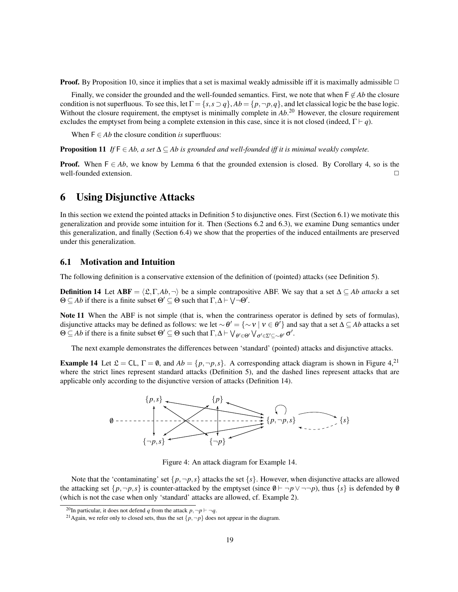**Proof.** By Proposition 10, since it implies that a set is maximal weakly admissible iff it is maximally admissible  $\Box$ 

Finally, we consider the grounded and the well-founded semantics. First, we note that when  $\mathsf{F} \notin Ab$  the closure condition is not superfluous. To see this, let  $\Gamma = \{s, s \supset q\}$ ,  $Ab = \{p, \neg p, q\}$ , and let classical logic be the base logic. Without the closure requirement, the emptyset is minimally complete in *Ab*.<sup>20</sup> However, the closure requirement excludes the emptyset from being a complete extension in this case, since it is not closed (indeed,  $\Gamma \vdash q$ ).

When  $F \in Ab$  the closure condition *is* superfluous:

**Proposition 11** *If*  $F \in Ab$ , a set  $\Delta \subset Ab$  is grounded and well-founded iff it is minimal weakly complete.

**Proof.** When  $F \in Ab$ , we know by Lemma 6 that the grounded extension is closed. By Corollary 4, so is the well-founded extension. ✷

# 6 Using Disjunctive Attacks

In this section we extend the pointed attacks in Definition 5 to disjunctive ones. First (Section 6.1) we motivate this generalization and provide some intuition for it. Then (Sections 6.2 and 6.3), we examine Dung semantics under this generalization, and finally (Section 6.4) we show that the properties of the induced entailments are preserved under this generalization.

## 6.1 Motivation and Intuition

The following definition is a conservative extension of the definition of (pointed) attacks (see Definition 5).

**Definition 14** Let  $ABF = \langle \mathcal{L}, \Gamma, Ab, \neg \rangle$  be a simple contrapositive ABF. We say that a set  $\Delta \subseteq Ab$  *attacks* a set  $\Theta \subseteq Ab$  if there is a finite subset  $\Theta' \subseteq \Theta$  such that  $\Gamma, \Delta \vdash \bigvee \neg \Theta'$ .

Note 11 When the ABF is not simple (that is, when the contrariness operator is defined by sets of formulas), disjunctive attacks may be defined as follows: we let  $\sim \theta' = \{\sim v \mid v \in \theta'\}$  and say that a set  $\Delta \subseteq Ab$  attacks a set  $Θ ⊆ Ab$  if there is a finite subset  $Θ' ⊆ Θ$  such that  $Γ, Δ ⊢ ∨<sub>θ'∈Θ'</sub> ∨<sub>σ'∈Σ'⊆∼θ' σ'</sub>$ .

The next example demonstrates the differences between 'standard' (pointed) attacks and disjunctive attacks.

**Example 14** Let  $\mathcal{L} = CL$ ,  $\Gamma = \emptyset$ , and  $Ab = \{p, \neg p, s\}$ . A corresponding attack diagram is shown in Figure 4,<sup>21</sup> where the strict lines represent standard attacks (Definition 5), and the dashed lines represent attacks that are applicable only according to the disjunctive version of attacks (Definition 14).



Figure 4: An attack diagram for Example 14.

Note that the 'contaminating' set  $\{p, \neg p, s\}$  attacks the set  $\{s\}$ . However, when disjunctive attacks are allowed the attacking set  $\{p, \neg p, s\}$  is counter-attacked by the emptyset (since  $\emptyset \vdash \neg p \lor \neg \neg p$ ), thus  $\{s\}$  is defended by  $\emptyset$ (which is not the case when only 'standard' attacks are allowed, cf. Example 2).

<sup>&</sup>lt;sup>20</sup>In particular, it does not defend *q* from the attack  $p, \neg p \vdash \neg q$ .

<sup>&</sup>lt;sup>21</sup> Again, we refer only to closed sets, thus the set  $\{p, \neg p\}$  does not appear in the diagram.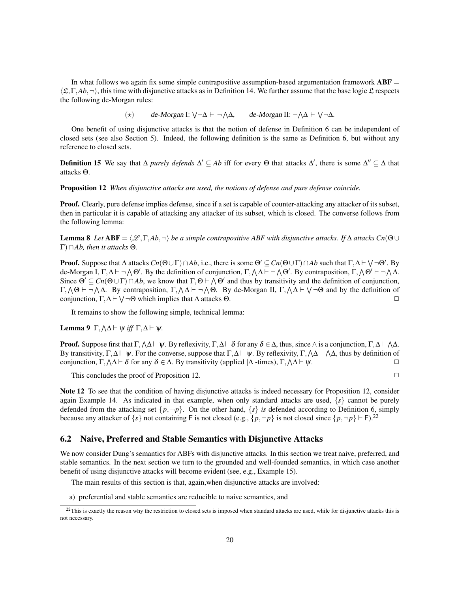In what follows we again fix some simple contrapositive assumption-based argumentation framework  $ABF =$  $\langle \mathfrak{L}, \Gamma, Ab, \neg \rangle$ , this time with disjunctive attacks as in Definition 14. We further assume that the base logic  $\mathfrak L$  respects the following de-Morgan rules:

(\*) de-Morgan I:  $\forall \neg \Delta \vdash \neg \land \Delta$ , de-Morgan II:  $\neg \land \Delta \vdash \forall \neg \Delta$ .

One benefit of using disjunctive attacks is that the notion of defense in Definition 6 can be independent of closed sets (see also Section 5). Indeed, the following definition is the same as Definition 6, but without any reference to closed sets.

**Definition 15** We say that  $\Delta$  *purely defends*  $\Delta' \subseteq Ab$  iff for every  $\Theta$  that attacks  $\Delta'$ , there is some  $\Delta'' \subseteq \Delta$  that attacks Θ.

Proposition 12 *When disjunctive attacks are used, the notions of defense and pure defense coincide.*

Proof. Clearly, pure defense implies defense, since if a set is capable of counter-attacking any attacker of its subset, then in particular it is capable of attacking any attacker of its subset, which is closed. The converse follows from the following lemma:

**Lemma 8** Let  $ABF = \langle \mathcal{L}, \Gamma, Ab, \neg \rangle$  *be a simple contrapositive ABF with disjunctive attacks. If* ∆ *attacks Cn*(Θ∪ Γ)∩*Ab, then it attacks* Θ*.*

**Proof.** Suppose that  $\Delta$  attacks  $Cn(\Theta \cup \Gamma) \cap Ab$ , i.e., there is some  $\Theta' \subseteq Cn(\Theta \cup \Gamma) \cap Ab$  such that  $\Gamma, \Delta \vdash \bigvee \neg \Theta'$ . By de-Morgan I,  $\Gamma, \Delta \vdash \neg \wedge \Theta'$ . By the definition of conjunction,  $\Gamma, \wedge \Delta \vdash \neg \wedge \Theta'$ . By contraposition,  $\Gamma, \wedge \Theta' \vdash \neg \wedge \Delta$ . Since  $\Theta' \subseteq Cn(\Theta \cup \Gamma) \cap Ab$ , we know that  $\Gamma, \Theta \vdash \Lambda \Theta'$  and thus by transitivity and the definition of conjunction,  $\Gamma, \Lambda$ Θ  $\vdash \neg \Lambda$ Δ. By contraposition,  $\Gamma, \Lambda$ Δ  $\vdash \neg \Lambda$ Θ. By de-Morgan II,  $\Gamma, \Lambda$ Δ  $\vdash$   $\lor \neg \Theta$  and by the definition of conjunction,  $\Gamma, \Delta \vdash \bigvee \neg \Theta$  which implies that  $\Delta$  attacks  $\Theta$ .

It remains to show the following simple, technical lemma:

Lemma 9 Γ,  $\wedge \Delta \vdash \psi$  *iff* Γ,  $\Delta \vdash \psi$ .

**Proof.** Suppose first that  $\Gamma, \Lambda \Delta \vdash \psi$ . By reflexivity,  $\Gamma, \Delta \vdash \delta$  for any  $\delta \in \Delta$ , thus, since  $\wedge$  is a conjunction,  $\Gamma, \Delta \vdash \Lambda \Delta$ . By transitivity,  $\Gamma, \Delta \vdash \psi$ . For the converse, suppose that  $\Gamma, \Delta \vdash \psi$ . By reflexivity,  $\Gamma, \Delta \vdash \Delta \Delta$ , thus by definition of conjunction,  $\Gamma, \Lambda \Delta \vdash \delta$  for any  $\delta \in \Delta$ . By transitivity (applied  $|\Delta|$ -times),  $\Gamma, \Lambda \Delta \vdash \psi$ .

This concludes the proof of Proposition 12.  $\Box$ 

Note 12 To see that the condition of having disjunctive attacks is indeed necessary for Proposition 12, consider again Example 14. As indicated in that example, when only standard attacks are used,  $\{s\}$  cannot be purely defended from the attacking set  $\{p, \neg p\}$ . On the other hand,  $\{s\}$  *is* defended according to Definition 6, simply because any attacker of  $\{s\}$  not containing F is not closed (e.g.,  $\{p, \neg p\}$  is not closed since  $\{p, \neg p\} \vdash F$ ).<sup>22</sup>

## 6.2 Naive, Preferred and Stable Semantics with Disjunctive Attacks

We now consider Dung's semantics for ABFs with disjunctive attacks. In this section we treat naive, preferred, and stable semantics. In the next section we turn to the grounded and well-founded semantics, in which case another benefit of using disjunctive attacks will become evident (see, e.g., Example 15).

The main results of this section is that, again,when disjunctive attacks are involved:

a) preferential and stable semantics are reducible to naive semantics, and

 $22$ This is exactly the reason why the restriction to closed sets is imposed when standard attacks are used, while for disjunctive attacks this is not necessary.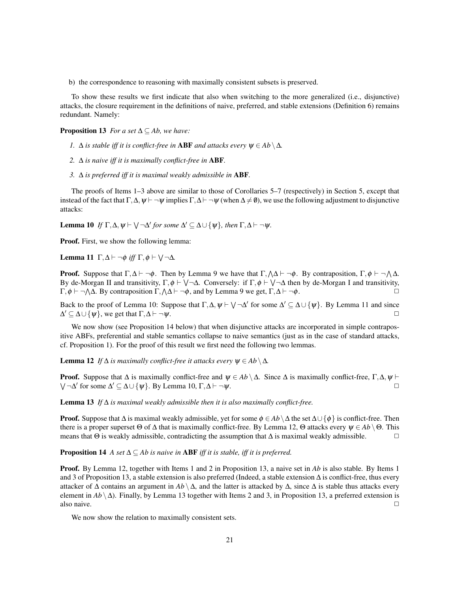b) the correspondence to reasoning with maximally consistent subsets is preserved.

To show these results we first indicate that also when switching to the more generalized (i.e., disjunctive) attacks, the closure requirement in the definitions of naive, preferred, and stable extensions (Definition 6) remains redundant. Namely:

**Proposition 13** *For a set*  $\Delta \subseteq Ab$ *, we have:* 

- *1.*  $\Delta$  *is stable iff it is conflict-free in* **ABF** *and attacks every*  $\psi \in Ab \setminus \Delta$ *.*
- *2.* ∆ *is naive iff it is maximally conflict-free in* ABF*.*
- *3.* ∆ *is preferred iff it is maximal weakly admissible in* ABF*.*

The proofs of Items 1–3 above are similar to those of Corollaries 5–7 (respectively) in Section 5, except that instead of the fact that Γ,  $\Delta$ ,  $\psi$   $\vdash$   $\neg \psi$  implies Γ,  $\Delta$   $\vdash$   $\neg \psi$  (when  $\Delta \neq \emptyset$ ), we use the following adjustment to disjunctive attacks:

**Lemma 10** If  $\Gamma, \Delta, \psi \vdash \bigvee \neg \Delta'$  for some  $\Delta' \subseteq \Delta \cup \{\psi\}$ , then  $\Gamma, \Delta \vdash \neg \psi$ .

Proof. First, we show the following lemma:

Lemma 11  $\Gamma, \Delta \vdash \neg \phi$  *iff*  $\Gamma, \phi \vdash \bigvee \neg \Delta$ .

**Proof.** Suppose that  $\Gamma, \Delta \vdash \neg \phi$ . Then by Lemma 9 we have that  $\Gamma, \Delta \vdash \neg \phi$ . By contraposition,  $\Gamma, \phi \vdash \neg \Delta \Delta$ . By de-Morgan II and transitivity,  $\Gamma, \phi \vdash \bigvee \neg \Delta$ . Conversely: if  $\Gamma, \phi \vdash \bigvee \neg \Delta$  then by de-Morgan I and transitivity,  $\Gamma, \phi \vdash \neg \wedge \Delta$ . By contraposition  $\Gamma, \wedge \Delta \vdash \neg \phi$ , and by Lemma 9 we get,  $\Gamma, \Delta \vdash \neg \phi$ .

Back to the proof of Lemma 10: Suppose that  $\Gamma, \Delta, \psi \vdash \bigvee \neg \Delta'$  for some  $\Delta' \subseteq \Delta \cup \{\psi\}$ . By Lemma 11 and since  $\Delta' \subseteq \Delta \cup \{\psi\}$ , we get that  $\Gamma, \Delta \vdash \neg \psi$ .

We now show (see Proposition 14 below) that when disjunctive attacks are incorporated in simple contrapositive ABFs, preferential and stable semantics collapse to naive semantics (just as in the case of standard attacks, cf. Proposition 1). For the proof of this result we first need the following two lemmas.

**Lemma 12** *If*  $\Delta$  *is maximally conflict-free it attacks every*  $\psi \in Ab \setminus \Delta$ *.* 

**Proof.** Suppose that  $\Delta$  is maximally conflict-free and  $\psi \in Ab \setminus \Delta$ . Since  $\Delta$  is maximally conflict-free,  $\Gamma, \Delta, \psi \vdash$  $\bigvee \neg \Delta'$  for some  $\Delta' \subseteq \Delta \cup \{\psi\}$ . By Lemma 10,  $\Gamma, \Delta \vdash \neg \psi$ .

Lemma 13 *If* ∆ *is maximal weakly admissible then it is also maximally conflict-free.*

**Proof.** Suppose that  $\Delta$  is maximal weakly admissible, yet for some  $\phi \in Ab\setminus \Delta$  the set  $\Delta \cup \{\phi\}$  is conflict-free. Then there is a proper superset  $\Theta$  of  $\Delta$  that is maximally conflict-free. By Lemma 12,  $\Theta$  attacks every  $\psi \in Ab \setminus \Theta$ . This means that  $\Theta$  is weakly admissible, contradicting the assumption that  $\Delta$  is maximal weakly admissible.  $\Box$ 

Proposition 14 *A set* ∆ ⊆ *Ab is naive in* ABF *iff it is stable, iff it is preferred.*

Proof. By Lemma 12, together with Items 1 and 2 in Proposition 13, a naive set in *Ab* is also stable. By Items 1 and 3 of Proposition 13, a stable extension is also preferred (Indeed, a stable extension ∆ is conflict-free, thus every attacker of  $\Delta$  contains an argument in  $Ab \setminus \Delta$ , and the latter is attacked by  $\Delta$ , since  $\Delta$  is stable thus attacks every element in  $Ab \setminus \Delta$ ). Finally, by Lemma 13 together with Items 2 and 3, in Proposition 13, a preferred extension is also naive.  $\Box$ 

We now show the relation to maximally consistent sets.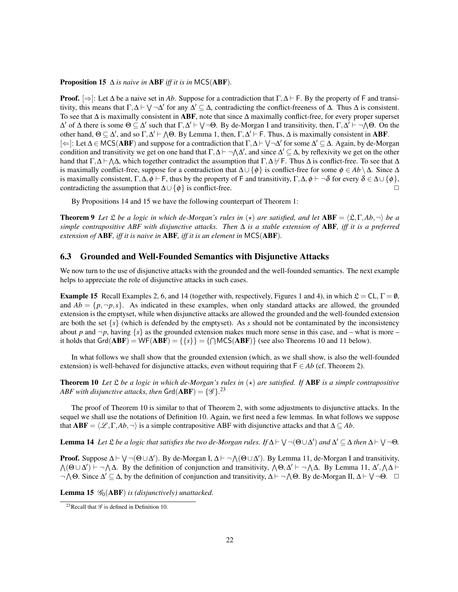#### **Proposition 15**  $\Delta$  *is naive in* ABF *iff it is in* MCS(ABF).

**Proof.**  $\Rightarrow$ : Let  $\Delta$  be a naive set in *Ab*. Suppose for a contradiction that  $\Gamma, \Delta \vdash F$ . By the property of F and transitivity, this means that  $\Gamma, \Delta \vdash \bigvee \neg \Delta'$  for any  $\Delta' \subseteq \Delta$ , contradicting the conflict-freeness of  $\Delta$ . Thus  $\Delta$  is consistent. To see that  $\Delta$  is maximally consistent in ABF, note that since  $\Delta$  maximally conflict-free, for every proper superset  $\Delta'$  of  $\Delta$  there is some Θ  $\subseteq$   $\Delta'$  such that Γ, $\Delta' \vdash \forall \neg \Theta$ . By de-Morgan I and transitivity, then, Γ, $\Delta' \vdash \neg \Lambda \Theta$ . On the other hand,  $\Theta \subseteq \Delta'$ , and so  $\Gamma, \Delta' \vdash \Lambda \Theta$ . By Lemma 1, then,  $\Gamma, \Delta' \vdash F$ . Thus,  $\Delta$  is maximally consistent in ABF. [ $\Leftarrow$ ]: Let  $\Delta \in \text{MCS}(ABF)$  and suppose for a contradiction that  $\Gamma, \Delta \vdash \bigvee \neg \Delta'$  for some  $\Delta' \subseteq \Delta$ . Again, by de-Morgan condition and transitivity we get on one hand that  $\Gamma$ ,  $\Delta \vdash \neg \Lambda \Delta'$ , and since  $\Delta' \subseteq \Delta$ , by reflexivity we get on the other hand that  $\Gamma, \Delta \vdash \Lambda \Delta$ , which together contradict the assumption that  $\Gamma, \Delta \not\vdash F$ . Thus  $\Delta$  is conflict-free. To see that  $\Delta$ is maximally conflict-free, suppose for a contradiction that  $\Delta \cup {\phi}$  is conflict-free for some  $\phi \in Ab \setminus \Delta$ . Since  $\Delta$ is maximally consistent,  $\Gamma, \Delta, \phi \vdash F$ , thus by the property of F and transitivity,  $\Gamma, \Delta, \phi \vdash \neg \delta$  for every  $\delta \in \Delta \cup \{\phi\}$ , contradicting the assumption that  $\Delta \cup {\phi}$  is conflict-free.  $\Box$ 

By Propositions 14 and 15 we have the following counterpart of Theorem 1:

**Theorem 9** Let  $\mathfrak L$  *be a logic in which de-Morgan's rules in*  $(\star)$  *are satisfied, and let* ABF =  $\langle \mathfrak L, \Gamma, Ab, \neg \rangle$  *be a simple contrapositive ABF with disjunctive attacks. Then* ∆ *is a stable extension of* ABF*, iff it is a preferred extension of* ABF*, iff it is naive in* ABF*, iff it is an element in* MCS(ABF)*.*

## 6.3 Grounded and Well-Founded Semantics with Disjunctive Attacks

We now turn to the use of disjunctive attacks with the grounded and the well-founded semantics. The next example helps to appreciate the role of disjunctive attacks in such cases.

**Example 15** Recall Examples 2, 6, and 14 (together with, respectively, Figures 1 and 4), in which  $\mathcal{L} = CL$ ,  $\Gamma = \emptyset$ , and  $Ab = \{p, \neg p, s\}$ . As indicated in these examples, when only standard attacks are allowed, the grounded extension is the emptyset, while when disjunctive attacks are allowed the grounded and the well-founded extension are both the set  $\{s\}$  (which is defended by the emptyset). As *s* should not be contaminated by the inconsistency about *p* and  $\neg p$ , having {*s*} as the grounded extension makes much more sense in this case, and – what is more – it holds that  $Grd(ABF) = WF(ABF) = \{\{\}\} = \{\{\Box MCS(ABF)\}\}\$  (see also Theorems 10 and 11 below).

In what follows we shall show that the grounded extension (which, as we shall show, is also the well-founded extension) is well-behaved for disjunctive attacks, even without requiring that  $F \in Ab$  (cf. Theorem 2).

**Theorem 10** Let  $\mathcal{L}$  be a logic in which de-Morgan's rules in  $(\star)$  are satisfied. If **ABF** is a simple contrapositive *ABF with disjunctive attacks, then*  $\mathsf{Grd}(\mathbf{ABF}) = \{\mathscr{G}\}.^{23}$ 

The proof of Theorem 10 is similar to that of Theorem 2, with some adjustments to disjunctive attacks. In the sequel we shall use the notations of Definition 10. Again, we first need a few lemmas. In what follows we suppose that  $ABF = \langle \mathcal{L}, \Gamma, Ab, \neg \rangle$  is a simple contrapositive ABF with disjunctive attacks and that  $\Delta \subseteq Ab$ .

**Lemma 14** Let  $\mathfrak L$  be a logic that satisfies the two de-Morgan rules. If  $\Delta \vdash \bigvee \neg (\Theta \cup \Delta')$  and  $\Delta' \subseteq \Delta$  then  $\Delta \vdash \bigvee \neg \Theta$ .

**Proof.** Suppose  $\Delta \vdash \bigvee \neg (\Theta \cup \Delta')$ . By de-Morgan I,  $\Delta \vdash \neg \bigwedge (\Theta \cup \Delta')$ . By Lemma 11, de-Morgan I and transitivity,  $\Lambda(\Theta \cup \Delta')$   $\vdash \neg \Lambda \Delta$ . By the definition of conjunction and transitivity,  $\Lambda \Theta, \Delta' \vdash \neg \Lambda \Delta$ . By Lemma 11,  $\Delta', \Lambda \Delta \vdash$  $\neg \wedge \Theta$ . Since  $\Delta' \subseteq \Delta$ , by the definition of conjunction and transitivity,  $\Delta \vdash \neg \wedge \Theta$ . By de-Morgan II,  $\Delta \vdash \vee \neg \Theta$ .  $\Box$ 

Lemma 15  $\mathcal{G}_0$ (ABF) *is (disjunctively) unattacked.* 

<sup>&</sup>lt;sup>23</sup>Recall that  $\mathscr G$  is defined in Definition 10.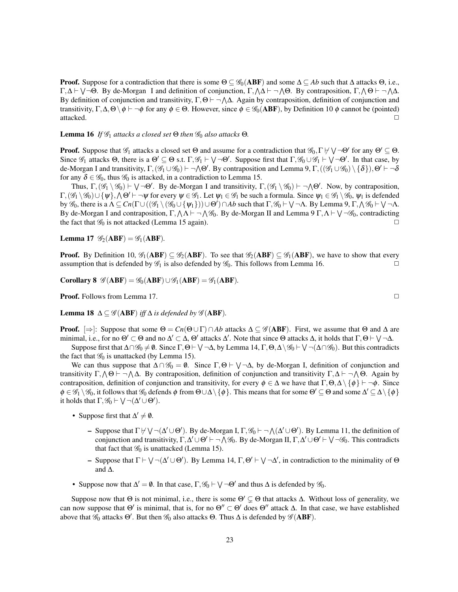**Proof.** Suppose for a contradiction that there is some  $\Theta \subseteq \mathcal{G}_0(\mathbf{ABF})$  and some  $\Delta \subseteq Ab$  such that  $\Delta$  attacks  $\Theta$ , i.e.,  $\Gamma, \Delta \vdash \bigvee \neg \Theta$ . By de-Morgan I and definition of conjunction,  $\Gamma, \Delta \vdash \neg \Delta \Theta$ . By contraposition,  $\Gamma, \Delta \Theta \vdash \neg \Delta \Delta$ . By definition of conjunction and transitivity,  $\Gamma, \Theta \vdash \neg \Lambda \Delta$ . Again by contraposition, definition of conjunction and transitivity,  $\Gamma, \Delta, \Theta \setminus \phi \vdash \neg \phi$  for any  $\phi \in \Theta$ . However, since  $\phi \in \mathcal{G}_0(\mathbf{ABF})$ , by Definition 10  $\phi$  cannot be (pointed) attacked.  $\Box$ 

**Lemma 16** *If*  $\mathcal{G}_1$  *attacks a closed set*  $\Theta$  *then*  $\mathcal{G}_0$  *also attacks*  $\Theta$ *.* 

**Proof.** Suppose that  $\mathscr{G}_1$  attacks a closed set  $\Theta$  and assume for a contradiction that  $\mathscr{G}_0$ ,  $\Gamma \nvdash \vee \neg \Theta'$  for any  $\Theta' \subseteq \Theta$ . Since  $\mathscr{G}_1$  attacks  $\Theta$ , there is a  $\Theta' \subseteq \Theta$  s.t.  $\Gamma, \mathscr{G}_1 \vdash \bigvee \neg \Theta'$ . Suppose first that  $\Gamma, \mathscr{G}_0 \cup \mathscr{G}_1 \vdash \bigvee \neg \Theta'$ . In that case, by de-Morgan I and transitivity,  $\Gamma$ ,  $(\mathscr{G}_1 \cup \mathscr{G}_0) \vdash \neg \Lambda \Theta'$ . By contraposition and Lemma 9,  $\Gamma$ ,  $((\mathscr{G}_1 \cup \mathscr{G}_0) \setminus \{\delta\})$ ,  $\Theta' \vdash \neg \delta$ for any  $\delta \in \mathscr{G}_0$ , thus  $\mathscr{G}_0$  is attacked, in a contradiction to Lemma 15.

Thus,  $\Gamma$ ,  $(\mathscr{G}_1 \setminus \mathscr{G}_0) \vdash \bigvee \neg \Theta'$ . By de-Morgan I and transitivity,  $\Gamma$ ,  $(\mathscr{G}_1 \setminus \mathscr{G}_0) \vdash \neg \Lambda \Theta'$ . Now, by contraposition,  $\Gamma,(\mathscr{G}_1 \setminus \mathscr{G}_0) \cup \{\psi\}, \bigwedge \Theta' \vdash \neg \psi$  for every  $\psi \in \mathscr{G}_1$ . Let  $\psi_1 \in \mathscr{G}_1$  be such a formula. Since  $\psi_1 \in \mathscr{G}_1 \setminus \mathscr{G}_0$ ,  $\psi_1$  is defended by  $\mathscr{G}_0$ , there is a  $\Lambda \subseteq Cn(\Gamma \cup ((\mathscr{G}_1 \setminus (\mathscr{G}_0 \cup {\{\psi_1\}})) \cup \Theta') \cap Ab$  such that  $\Gamma, \mathscr{G}_0 \vdash \bigvee \neg \Lambda$ . By Lemma  $9, \Gamma, \Lambda \mathscr{G}_0 \vdash \bigvee \neg \Lambda$ . By de-Morgan I and contraposition,  $\Gamma, \Lambda \Lambda \vdash \neg \Lambda \mathscr{G}_0$ . By de-Morgan II and Lemma 9  $\Gamma, \Lambda \vdash \bigvee \neg \mathscr{G}_0$ , contradicting the fact that  $\mathcal{G}_0$  is not attacked (Lemma 15 again).

**Lemma 17**  $\mathscr{G}_2(ABF) = \mathscr{G}_1(ABF)$ .

**Proof.** By Definition 10,  $\mathscr{G}_1(ABF) \subseteq \mathscr{G}_2(ABF)$ . To see that  $\mathscr{G}_2(ABF) \subseteq \mathscr{G}_1(ABF)$ , we have to show that every assumption that is defended by  $\mathscr{G}_1$  is also defended by  $\mathscr{G}_0$ . This follows from Lemma 16.

Corollary 8  $\mathscr{G}(ABF) = \mathscr{G}_0(ABF) \cup \mathscr{G}_1(ABF) = \mathscr{G}_1(ABF)$ .

**Proof.** Follows from Lemma 17. ◯

**Lemma 18**  $\Delta \subseteq \mathscr{G}(ABF)$  *iff*  $\Delta$  *is defended by*  $\mathscr{G}(ABF)$ *.* 

**Proof.**  $[\Rightarrow]$ : Suppose that some  $\Theta = Cn(\Theta \cup \Gamma) \cap Ab$  attacks  $\Delta \subseteq \mathscr{G}(ABF)$ . First, we assume that  $\Theta$  and  $\Delta$  are minimal, i.e., for no  $\Theta' \subset \Theta$  and no  $\Delta' \subset \Delta$ ,  $\Theta'$  attacks  $\Delta'$ . Note that since  $\Theta$  attacks  $\Delta$ , it holds that  $\Gamma, \Theta \vdash \bigvee \neg \Delta$ .

Suppose first that  $\Delta \cap \mathscr{G}_0 \neq \emptyset$ . Since  $\Gamma, \Theta \vdash \bigvee \neg \Delta$ , by Lemma 14,  $\Gamma, \Theta, \Delta \setminus \mathscr{G}_0 \vdash \bigvee \neg (\Delta \cap \mathscr{G}_0)$ . But this contradicts the fact that  $\mathcal{G}_0$  is unattacked (by Lemma 15).

We can thus suppose that  $\Delta \cap \mathscr{G}_0 = \emptyset$ . Since  $\Gamma, \Theta \vdash \bigvee \neg \Delta$ , by de-Morgan I, definition of conjunction and transitivity Γ,  $\wedge$  Θ  $\vdash$   $\neg$   $\wedge$  Δ. By contraposition, definition of conjunction and transitivity Γ, Δ  $\vdash$   $\neg$   $\wedge$  Θ. Again by contraposition, definition of conjunction and transitivity, for every  $\phi \in \Delta$  we have that  $\Gamma, \Theta, \Delta \setminus \{\phi\} \vdash \neg \phi$ . Since  $\phi \in \mathscr{G}_1 \setminus \mathscr{G}_0$ , it follows that  $\mathscr{G}_0$  defends  $\phi$  from  $\Theta \cup \Delta \setminus \{\phi\}$ . This means that for some  $\Theta' \subseteq \Theta$  and some  $\Delta' \subseteq \Delta \setminus \{\phi\}$ it holds that  $\Gamma$ ,  $\mathscr{G}_0 \vdash \bigvee \neg(\Delta' \cup \Theta')$ .

- Suppose first that  $\Delta' \neq \emptyset$ .
	- Suppose that  $\Gamma \nvdash \bigvee \neg (\Delta' \cup \Theta')$ . By de-Morgan I,  $\Gamma, \mathscr{G}_0 \vdash \neg \bigwedge (\Delta' \cup \Theta')$ . By Lemma 11, the definition of conjunction and transitivity,  $\Gamma, \Delta' \cup \Theta' \vdash \neg \wedge \mathscr{G}_0$ . By de-Morgan II,  $\Gamma, \Delta' \cup \Theta' \vdash \bigvee \neg \mathscr{G}_0$ . This contradicts that fact that  $\mathcal{G}_0$  is unattacked (Lemma 15).
	- Suppose that  $\Gamma \vdash \bigvee \neg (\Delta' \cup \Theta')$ . By Lemma 14,  $\Gamma, \Theta' \vdash \bigvee \neg \Delta'$ , in contradiction to the minimality of  $\Theta$ and ∆.
- Suppose now that  $\Delta' = \emptyset$ . In that case,  $\Gamma, \mathscr{G}_0 \vdash \bigvee \neg \Theta'$  and thus  $\Delta$  is defended by  $\mathscr{G}_0$ .

Suppose now that  $\Theta$  is not minimal, i.e., there is some  $\Theta' \subsetneq \Theta$  that attacks  $\Delta$ . Without loss of generality, we can now suppose that  $\Theta'$  is minimal, that is, for no  $\Theta'' \subset \Theta'$  does  $\Theta''$  attack  $\Delta$ . In that case, we have established above that  $\mathscr{G}_0$  attacks  $\Theta'$ . But then  $\mathscr{G}_0$  also attacks  $\Theta$ . Thus  $\Delta$  is defended by  $\mathscr{G}(ABF)$ .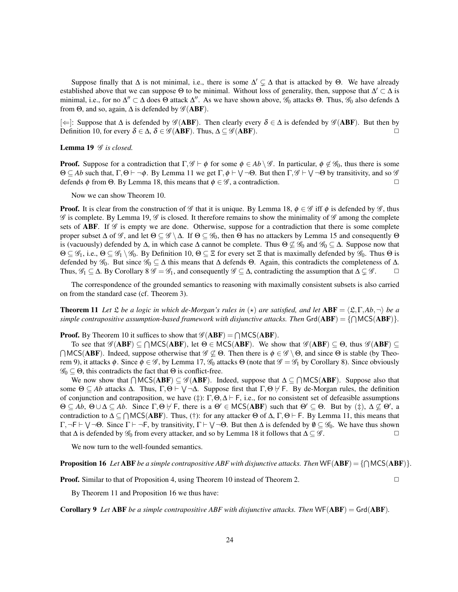Suppose finally that  $\Delta$  is not minimal, i.e., there is some  $\Delta' \subsetneq \Delta$  that is attacked by  $\Theta$ . We have already established above that we can suppose  $\Theta$  to be minimal. Without loss of generality, then, suppose that  $\Delta' \subset \Delta$  is minimal, i.e., for no  $\Delta'' \subset \Delta$  does  $\Theta$  attack  $\Delta''$ . As we have shown above,  $\mathscr{G}_0$  attacks  $\Theta$ . Thus,  $\mathscr{G}_0$  also defends  $\Delta$ from  $\Theta$ , and so, again,  $\Delta$  is defended by  $\mathscr{G}(ABF)$ .

[ $\Leftarrow$ ]: Suppose that Δ is defended by  $\mathscr{G}(ABF)$ . Then clearly every  $\delta \in \Delta$  is defended by  $\mathscr{G}(ABF)$ . But then by Definition 10, for every  $\delta \in \Delta$ ,  $\delta \in \mathscr{G}(ABF)$ . Thus,  $\Delta \subseteq \mathscr{G}(ABF)$ .

#### Lemma 19  $\mathscr G$  *is closed.*

**Proof.** Suppose for a contradiction that  $\Gamma, \mathscr{G} \vdash \phi$  for some  $\phi \in Ab \setminus \mathscr{G}$ . In particular,  $\phi \notin \mathscr{G}_0$ , thus there is some  $\Theta \subseteq Ab$  such that,  $\Gamma, \Theta \vdash \neg \phi$ . By Lemma 11 we get  $\Gamma, \phi \vdash \bigvee \neg \Theta$ . But then  $\Gamma, \mathscr{G} \vdash \bigvee \neg \Theta$  by transitivity, and so  $\mathscr{G}$ defends φ from Θ. By Lemma 18, this means that  $\phi \in \mathscr{G}$ , a contradiction.

Now we can show Theorem 10.

**Proof.** It is clear from the construction of  $\mathscr G$  that it is unique. By Lemma 18,  $\phi \in \mathscr G$  iff  $\phi$  is defended by  $\mathscr G$ , thus  $\mathscr G$  is complete. By Lemma 19,  $\mathscr G$  is closed. It therefore remains to show the minimality of  $\mathscr G$  among the complete sets of **ABF**. If  $\mathscr G$  is empty we are done. Otherwise, suppose for a contradiction that there is some complete proper subset  $\Delta$  of  $\mathscr{G}$ , and let  $\Theta \subseteq \mathscr{G} \setminus \Delta$ . If  $\Theta \subseteq \mathscr{G}_0$ , then  $\Theta$  has no attackers by Lemma 15 and consequently  $\Theta$ is (vacuously) defended by  $\Delta$ , in which case  $\Delta$  cannot be complete. Thus  $\Theta \not\subseteq \mathcal{G}_0$  and  $\mathcal{G}_0 \subseteq \Delta$ . Suppose now that  $\Theta \subseteq \mathscr{G}_1$ , i.e.,  $\Theta \subseteq \mathscr{G}_1 \setminus \mathscr{G}_0$ . By Definition 10,  $\Theta \subseteq \Xi$  for every set  $\Xi$  that is maximally defended by  $\mathscr{G}_0$ . Thus  $\Theta$  is defended by  $\mathscr{G}_0$ . But since  $\mathscr{G}_0 \subseteq \Delta$  this means that  $\Delta$  defends  $\Theta$ . Again, this contradicts the completeness of  $\Delta$ . Thus,  $\mathscr{G}_1 \subseteq \Delta$ . By Corollary 8  $\mathscr{G} = \mathscr{G}_1$ , and consequently  $\mathscr{G} \subseteq \Delta$ , contradicting the assumption that  $\Delta \subsetneq \mathscr{G}$ .  $\Box$ 

The correspondence of the grounded semantics to reasoning with maximally consistent subsets is also carried on from the standard case (cf. Theorem 3).

**Theorem 11** Let  $\mathcal{L}$  be a logic in which de-Morgan's rules in  $(\star)$  are satisfied, and let  $ABF = \langle \mathcal{L}, \Gamma, Ab, \neg \rangle$  be a simple contrapositive assumption-based framework with disjunctive attacks. Then  $\text{Grd}(ABF) = \{ \bigcap \text{MCS}(ABF) \}.$ 

**Proof.** By Theorem 10 it suffices to show that  $\mathscr{G}(ABF) = \bigcap MCS(ABF)$ .

To see that  $\mathscr{G}(ABF) \subseteq \bigcap {\mathsf{MCS}}(ABF)$ , let  $\Theta \in {\mathsf{MCS}}(ABF)$ . We show that  $\mathscr{G}(ABF) \subseteq \Theta$ , thus  $\mathscr{G}(ABF) \subseteq \Theta$  $\bigcap \text{MCS}(ABF)$ . Indeed, suppose otherwise that  $\mathscr{G} \not\subseteq \Theta$ . Then there is  $\phi \in \mathscr{G} \setminus \Theta$ , and since  $\Theta$  is stable (by Theorem 9), it attacks  $\phi$ . Since  $\phi \in \mathscr{G}$ , by Lemma 17,  $\mathscr{G}_0$  attacks  $\Theta$  (note that  $\mathscr{G} = \mathscr{G}_1$  by Corollary 8). Since obviously  $\mathscr{G}_0 \subset \Theta$ , this contradicts the fact that  $\Theta$  is conflict-free.

We now show that  $\bigcap {\sf MCS}({\bf ABF}) \subseteq \mathscr{G}({\bf ABF})$ . Indeed, suppose that  $\Delta \subseteq \bigcap {\sf MCS}({\bf ABF})$ . Suppose also that some  $\Theta \subseteq Ab$  attacks  $\Delta$ . Thus,  $\Gamma, \Theta \vdash \bigvee \neg \Delta$ . Suppose first that  $\Gamma, \Theta \not\models F$ . By de-Morgan rules, the definition of conjunction and contraposition, we have (‡):  $\Gamma, \Theta, \Delta \vdash F$ , i.e., for no consistent set of defeasible assumptions  $\Theta \subseteq Ab$ ,  $\Theta \cup \Delta \subseteq Ab$ . Since  $\Gamma, \Theta \not\vdash F$ , there is a  $\Theta' \in \text{MCS}(ABF)$  such that  $\Theta' \subseteq \Theta$ . But by (‡),  $\Delta \not\subseteq \Theta'$ , a contradiction to  $\Delta \subseteq \bigcap {\sf MCS}({\bf ABF})$ . Thus, (†): for any attacker  $\Theta$  of  $\Delta$ ,  $\Gamma, \Theta \vdash F$ . By Lemma 11, this means that  $\Gamma,\neg \mathsf{F} \vdash \bigvee \neg \Theta$ . Since  $\Gamma \vdash \neg \mathsf{F}$ , by transitivity,  $\Gamma \vdash \bigvee \neg \Theta$ . But then  $\Delta$  is defended by  $\emptyset \subseteq \mathscr{G}_0$ . We have thus shown that  $\Delta$  is defended by  $\mathscr{G}_0$  from every attacker, and so by Lemma 18 it follows that  $\Delta \subseteq \mathscr{G}$ .

We now turn to the well-founded semantics.

**Proposition 16** Let ABF be a simple contrapositive ABF with disjunctive attacks. Then  $WF(ABF) = \{ \bigcap MCS(ABF) \}$ .

**Proof.** Similar to that of Proposition 4, using Theorem 10 instead of Theorem 2.  $\Box$ 

By Theorem 11 and Proposition 16 we thus have:

Corollary 9 *Let* ABF *be a simple contrapositive ABF with disjunctive attacks. Then* WF(ABF) = Grd(ABF)*.*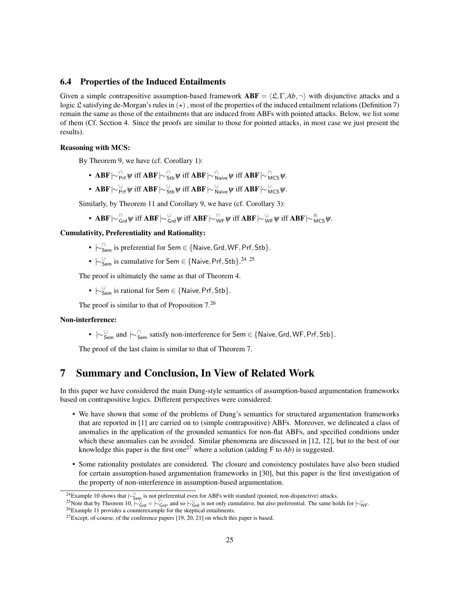## 6.4 Properties of the Induced Entailments

Given a simple contrapositive assumption-based framework  $ABF = \langle \mathfrak{L}, \Gamma, Ab, \neg \rangle$  with disjunctive attacks and a logic £ satisfying de-Morgan's rules in  $(\star)$ , most of the properties of the induced entailment relations (Definition 7) remain the same as those of the entailments that are induced from ABFs with pointed attacks. Below, we list some of them (Cf. Section 4. Since the proofs are similar to those for pointed attacks, in most case we just present the results).

#### Reasoning with MCS:

By Theorem 9, we have (cf. Corollary 1):

- ∙ ΑΒF $\mid\sim$   $_{\mathsf{Prf}}^{\cap}$   $\psi$  iff ΑΒF $\mid\sim$   $_{\mathsf{Stb}}^{\cap}$   $\psi$  iff  $\parallel$  alve $\psi$  iff ΑΒF  $\mid\sim$   $_{\mathsf{MCS}}^{\cap}$   $\psi$ .
- ∙ ΑΒF $\mid\sim_{\mathsf{Prf}}^{\cup}\psi$  iff ΑΒF $\mid\sim_{\mathsf{Stb}}^{\cup}\psi$  iff ΑΒ $\mathbf{F} \mid\sim_{\mathsf{N}\mathsf{aive}}^{\cup}\psi$  iff ΑΒF  $\mid\sim_{\mathsf{MCS}}^{\cup}\psi.$

Similarly, by Theorem 11 and Corollary 9, we have (cf. Corollary 3):

•  $\mathbf{ABF} \sim_{\mathsf{Grd}}^{\mathsf{G}} \psi$  iff  $\mathbf{ABF} \sim_{\mathsf{Grd}}^{\mathsf{U}} \psi$  iff  $\mathbf{ABF} \sim_{\mathsf{WF}}^{\mathsf{G}} \psi$  iff  $\mathbf{ABF} \sim_{\mathsf{WF}}^{\mathsf{G}} \psi$  iff  $\mathbf{ABF} \sim_{\mathsf{MCS}}^{\mathsf{G}} \psi$ .

## Cumulativity, Preferentiality and Rationality:

- $\hspace{0.1 cm}\sim\hspace{-0.1 cm}\mathbb{C}^{\cap}_{\mathsf{Sem}}$  is preferential for Sem  $\in$  {Naive, Grd, WF, Prf, Stb}.
- $\hspace{0.1 cm} \mid \hspace{0.1 cm} \cdot \hspace{0.1 cm} \mid_{\mathsf{Sem}}$  is cumulative for Sem  $\in$  {Naive, Prf, Stb}.<sup>24 25</sup>

The proof is ultimately the same as that of Theorem 4.

•  $\hspace{0.1 cm} \sim \hspace{-0.1 cm} \mid_{\mathsf{Sem}}$  is rational for Sem  $\in$  {Naive, Prf, Stb}.

The proof is similar to that of Proposition  $7<sup>26</sup>$ 

## Non-interference:

•  $\vert \sim_{\mathsf{Sem}}^{\cup}$  and  $\vert \sim_{\mathsf{Sem}}^{\cap}$  satisfy non-interference for Sem ∈ {Naive, Grd, WF, Prf, Stb}.

The proof of the last claim is similar to that of Theorem 7.

# 7 Summary and Conclusion, In View of Related Work

In this paper we have considered the main Dung-style semantics of assumption-based argumentation frameworks based on contrapositive logics. Different perspectives were considered:

- We have shown that some of the problems of Dung's semantics for structured argumentation frameworks that are reported in [1] are carried on to (simple contrapositive) ABFs. Moreover, we delineated a class of anomalies in the application of the grounded semantics for non-flat ABFs, and specified conditions under which these anomalies can be avoided. Similar phenomena are discussed in [12, 12], but to the best of our knowledge this paper is the first one<sup>27</sup> where a solution (adding  $\overline{F}$  to *Ab*) is suggested.
- Some rationality postulates are considered. The closure and consistency postulates have also been studied for certain assumption-based argumentation frameworks in [30], but this paper is the first investigation of the property of non-interference in assumption-based argumentation.

<sup>25</sup>Note that by Theorem 10,  $\overline{C}_{Grd}^{\cup} = \overline{C}_{Grd}^{\cap}$ , and so  $\overline{C}_{Grd}^{\cup}$  is not only cumulative, but also preferential. The same holds for  $\overline{C}_{WF}^{\cup}$ .

<sup>&</sup>lt;sup>24</sup>Example 10 shows that  $\vdash_{\mathsf{Sem}}^{\cup}$  is not preferential even for ABFs with standard (pointed, non-disjunctive) attacks.

<sup>&</sup>lt;sup>26</sup>Example 11 provides a counterexample for the skeptical entailments.

 $27$ Except, of-course, of the conference papers [19, 20, 21] on which this paper is based.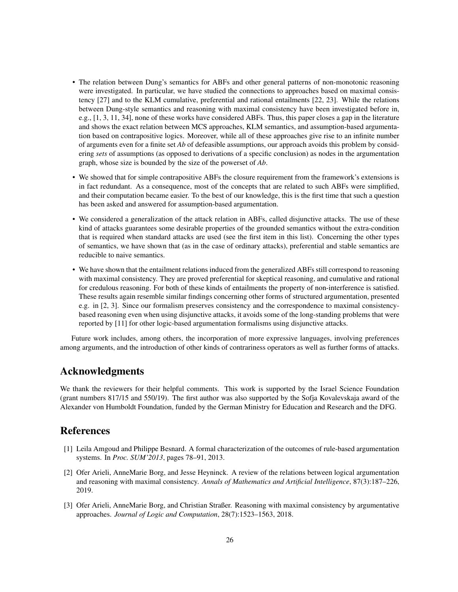- The relation between Dung's semantics for ABFs and other general patterns of non-monotonic reasoning were investigated. In particular, we have studied the connections to approaches based on maximal consistency [27] and to the KLM cumulative, preferential and rational entailments [22, 23]. While the relations between Dung-style semantics and reasoning with maximal consistency have been investigated before in, e.g., [1, 3, 11, 34], none of these works have considered ABFs. Thus, this paper closes a gap in the literature and shows the exact relation between MCS approaches, KLM semantics, and assumption-based argumentation based on contrapositive logics. Moreover, while all of these approaches give rise to an infinite number of arguments even for a finite set *Ab* of defeasible assumptions, our approach avoids this problem by considering *sets* of assumptions (as opposed to derivations of a specific conclusion) as nodes in the argumentation graph, whose size is bounded by the size of the powerset of *Ab*.
- We showed that for simple contrapositive ABFs the closure requirement from the framework's extensions is in fact redundant. As a consequence, most of the concepts that are related to such ABFs were simplified, and their computation became easier. To the best of our knowledge, this is the first time that such a question has been asked and answered for assumption-based argumentation.
- We considered a generalization of the attack relation in ABFs, called disjunctive attacks. The use of these kind of attacks guarantees some desirable properties of the grounded semantics without the extra-condition that is required when standard attacks are used (see the first item in this list). Concerning the other types of semantics, we have shown that (as in the case of ordinary attacks), preferential and stable semantics are reducible to naive semantics.
- We have shown that the entailment relations induced from the generalized ABFs still correspond to reasoning with maximal consistency. They are proved preferential for skeptical reasoning, and cumulative and rational for credulous reasoning. For both of these kinds of entailments the property of non-interference is satisfied. These results again resemble similar findings concerning other forms of structured argumentation, presented e.g. in [2, 3]. Since our formalism preserves consistency and the correspondence to maximal consistencybased reasoning even when using disjunctive attacks, it avoids some of the long-standing problems that were reported by [11] for other logic-based argumentation formalisms using disjunctive attacks.

Future work includes, among others, the incorporation of more expressive languages, involving preferences among arguments, and the introduction of other kinds of contrariness operators as well as further forms of attacks.

# Acknowledgments

We thank the reviewers for their helpful comments. This work is supported by the Israel Science Foundation (grant numbers 817/15 and 550/19). The first author was also supported by the Sofja Kovalevskaja award of the Alexander von Humboldt Foundation, funded by the German Ministry for Education and Research and the DFG.

# References

- [1] Leila Amgoud and Philippe Besnard. A formal characterization of the outcomes of rule-based argumentation systems. In *Proc. SUM'2013*, pages 78–91, 2013.
- [2] Ofer Arieli, AnneMarie Borg, and Jesse Heyninck. A review of the relations between logical argumentation and reasoning with maximal consistency. *Annals of Mathematics and Artificial Intelligence*, 87(3):187–226, 2019.
- [3] Ofer Arieli, AnneMarie Borg, and Christian Straßer. Reasoning with maximal consistency by argumentative approaches. *Journal of Logic and Computation*, 28(7):1523–1563, 2018.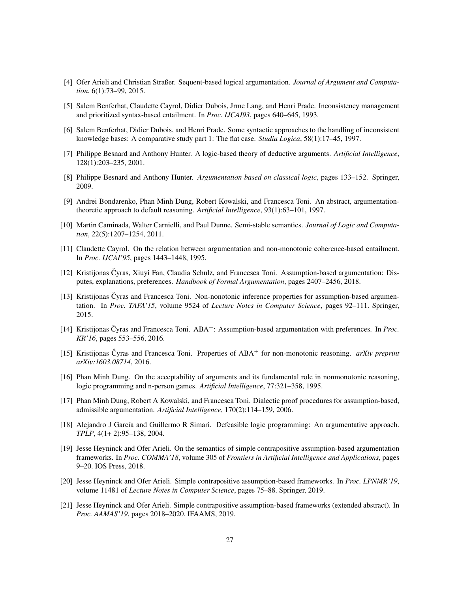- [4] Ofer Arieli and Christian Straßer. Sequent-based logical argumentation. *Journal of Argument and Computation*, 6(1):73–99, 2015.
- [5] Salem Benferhat, Claudette Cayrol, Didier Dubois, Jrme Lang, and Henri Prade. Inconsistency management and prioritized syntax-based entailment. In *Proc. IJCAI93*, pages 640–645, 1993.
- [6] Salem Benferhat, Didier Dubois, and Henri Prade. Some syntactic approaches to the handling of inconsistent knowledge bases: A comparative study part 1: The flat case. *Studia Logica*, 58(1):17–45, 1997.
- [7] Philippe Besnard and Anthony Hunter. A logic-based theory of deductive arguments. *Artificial Intelligence*, 128(1):203–235, 2001.
- [8] Philippe Besnard and Anthony Hunter. *Argumentation based on classical logic*, pages 133–152. Springer, 2009.
- [9] Andrei Bondarenko, Phan Minh Dung, Robert Kowalski, and Francesca Toni. An abstract, argumentationtheoretic approach to default reasoning. *Artificial Intelligence*, 93(1):63–101, 1997.
- [10] Martin Caminada, Walter Carnielli, and Paul Dunne. Semi-stable semantics. *Journal of Logic and Computation*, 22(5):1207–1254, 2011.
- [11] Claudette Cayrol. On the relation between argumentation and non-monotonic coherence-based entailment. In *Proc. IJCAI'95*, pages 1443–1448, 1995.
- [12] Kristijonas Čyras, Xiuyi Fan, Claudia Schulz, and Francesca Toni. Assumption-based argumentation: Disputes, explanations, preferences. *Handbook of Formal Argumentation*, pages 2407–2456, 2018.
- [13] Kristijonas Čyras and Francesca Toni. Non-nonotonic inference properties for assumption-based argumentation. In *Proc. TAFA'15*, volume 9524 of *Lecture Notes in Computer Science*, pages 92–111. Springer, 2015.
- [14] Kristijonas Čyras and Francesca Toni. ABA<sup>+</sup>: Assumption-based argumentation with preferences. In *Proc. KR'16*, pages 553–556, 2016.
- [15] Kristijonas Cyras and Francesca Toni. Properties of ABA ˇ <sup>+</sup> for non-monotonic reasoning. *arXiv preprint arXiv:1603.08714*, 2016.
- [16] Phan Minh Dung. On the acceptability of arguments and its fundamental role in nonmonotonic reasoning, logic programming and n-person games. *Artificial Intelligence*, 77:321–358, 1995.
- [17] Phan Minh Dung, Robert A Kowalski, and Francesca Toni. Dialectic proof procedures for assumption-based, admissible argumentation. *Artificial Intelligence*, 170(2):114–159, 2006.
- [18] Alejandro J García and Guillermo R Simari. Defeasible logic programming: An argumentative approach. *TPLP*, 4(1+ 2):95–138, 2004.
- [19] Jesse Heyninck and Ofer Arieli. On the semantics of simple contrapositive assumption-based argumentation frameworks. In *Proc. COMMA'18*, volume 305 of *Frontiers in Artificial Intelligence and Applications*, pages 9–20. IOS Press, 2018.
- [20] Jesse Heyninck and Ofer Arieli. Simple contrapositive assumption-based frameworks. In *Proc. LPNMR'19*, volume 11481 of *Lecture Notes in Computer Science*, pages 75–88. Springer, 2019.
- [21] Jesse Heyninck and Ofer Arieli. Simple contrapositive assumption-based frameworks (extended abstract). In *Proc. AAMAS'19*, pages 2018–2020. IFAAMS, 2019.